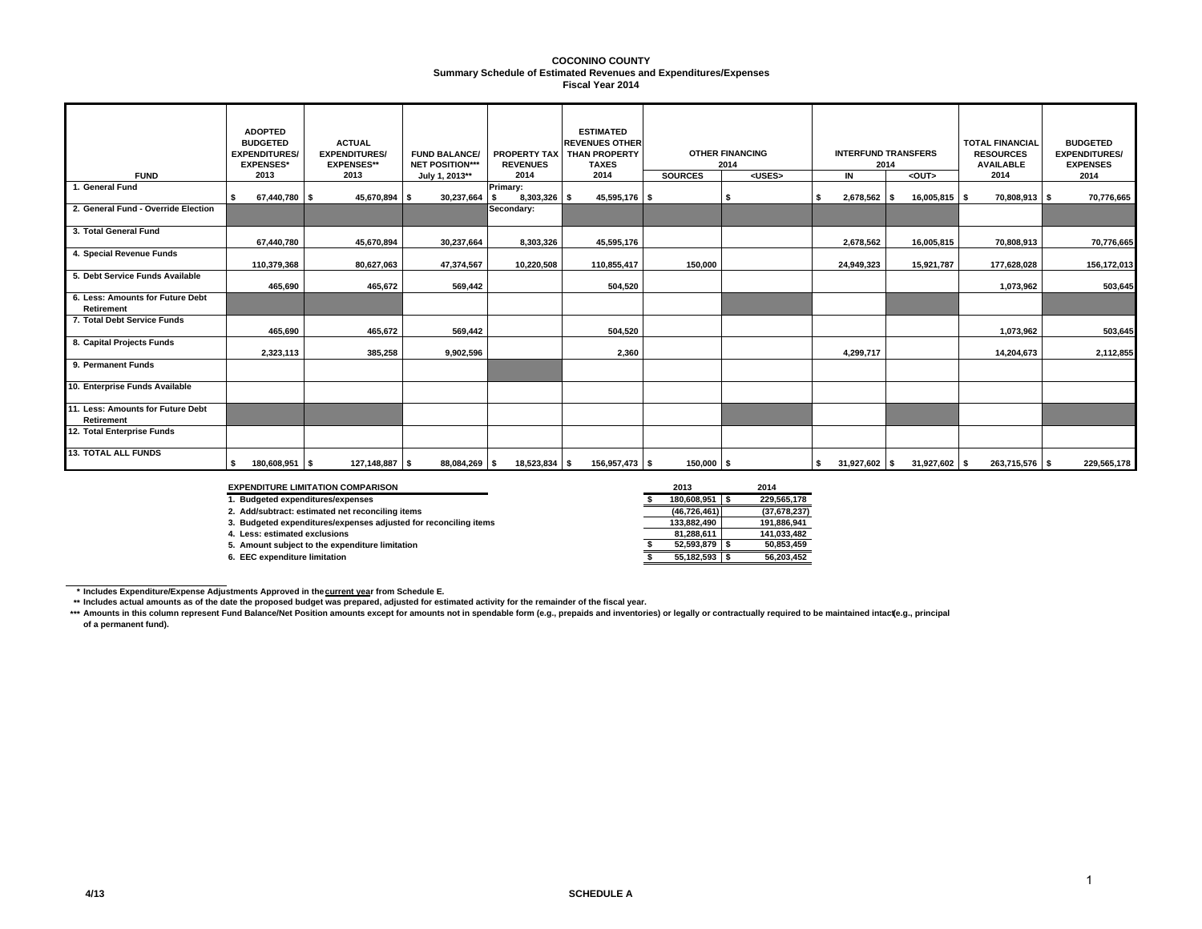#### **Summary Schedule of Estimated Revenues and Expenditures/Expenses COCONINO COUNTYFiscal Year 2014**

| <b>FUND</b>                                            | <b>ADOPTED</b><br><b>BUDGETED</b><br><b>EXPENDITURES/</b><br><b>EXPENSES*</b><br>2013 | <b>ACTUAL</b><br><b>EXPENDITURES/</b><br><b>EXPENSES**</b><br>2013 | <b>FUND BALANCE/</b><br><b>NET POSITION***</b><br>July 1, 2013** | <b>PROPERTY TAX</b><br><b>REVENUES</b><br>2014 | <b>ESTIMATED</b><br><b>REVENUES OTHER</b><br><b>THAN PROPERTY</b><br><b>TAXES</b><br>2014 | <b>SOURCES</b> | <b>OTHER FINANCING</b><br>2014<br><uses></uses> |                 | <b>TOTAL FINANCIAL</b><br><b>INTERFUND TRANSFERS</b><br>2014<br>IN<br>$\overline{\overline{\text{c}}}$ |                       | <b>BUDGETED</b><br><b>EXPENDITURES/</b><br><b>EXPENSES</b><br>2014 |
|--------------------------------------------------------|---------------------------------------------------------------------------------------|--------------------------------------------------------------------|------------------------------------------------------------------|------------------------------------------------|-------------------------------------------------------------------------------------------|----------------|-------------------------------------------------|-----------------|--------------------------------------------------------------------------------------------------------|-----------------------|--------------------------------------------------------------------|
| 1. General Fund                                        | 67,440,780                                                                            | 45,670,894<br>-S                                                   | 30,237,664<br>\$                                                 | Primary:<br>8,303,326 \$                       | 45,595,176 \$                                                                             |                |                                                 | 2,678,562 \$    | 16,005,815 \$                                                                                          | 2014<br>70,808,913 \$ | 70,776,665                                                         |
| 2. General Fund - Override Election                    |                                                                                       |                                                                    |                                                                  | Secondary:                                     |                                                                                           |                |                                                 |                 |                                                                                                        |                       |                                                                    |
| 3. Total General Fund                                  | 67,440,780                                                                            | 45,670,894                                                         | 30,237,664                                                       | 8,303,326                                      | 45,595,176                                                                                |                |                                                 | 2,678,562       | 16,005,815                                                                                             | 70,808,913            | 70,776,665                                                         |
| 4. Special Revenue Funds                               | 110,379,368                                                                           | 80,627,063                                                         | 47,374,567                                                       | 10,220,508                                     | 110,855,417                                                                               | 150,000        |                                                 | 24,949,323      | 15,921,787                                                                                             | 177,628,028           | 156,172,013                                                        |
| 5. Debt Service Funds Available                        | 465,690                                                                               | 465,672                                                            | 569,442                                                          |                                                | 504,520                                                                                   |                |                                                 |                 |                                                                                                        | 1,073,962             | 503,645                                                            |
| 6. Less: Amounts for Future Debt<br><b>Retirement</b>  |                                                                                       |                                                                    |                                                                  |                                                |                                                                                           |                |                                                 |                 |                                                                                                        |                       |                                                                    |
| 7. Total Debt Service Funds                            | 465,690                                                                               | 465,672                                                            | 569,442                                                          |                                                | 504,520                                                                                   |                |                                                 |                 |                                                                                                        | 1,073,962             | 503,645                                                            |
| 8. Capital Projects Funds                              | 2,323,113                                                                             | 385,258                                                            | 9,902,596                                                        |                                                | 2,360                                                                                     |                |                                                 | 4,299,717       |                                                                                                        | 14,204,673            | 2,112,855                                                          |
| 9. Permanent Funds                                     |                                                                                       |                                                                    |                                                                  |                                                |                                                                                           |                |                                                 |                 |                                                                                                        |                       |                                                                    |
| 10. Enterprise Funds Available                         |                                                                                       |                                                                    |                                                                  |                                                |                                                                                           |                |                                                 |                 |                                                                                                        |                       |                                                                    |
| 11. Less: Amounts for Future Debt<br><b>Retirement</b> |                                                                                       |                                                                    |                                                                  |                                                |                                                                                           |                |                                                 |                 |                                                                                                        |                       |                                                                    |
| 12. Total Enterprise Funds                             |                                                                                       |                                                                    |                                                                  |                                                |                                                                                           |                |                                                 |                 |                                                                                                        |                       |                                                                    |
| <b>13. TOTAL ALL FUNDS</b>                             | 180,608,951                                                                           | 127,148,887 \$<br>IS.                                              | 88,084,269 \$                                                    | 18,523,834 \$                                  | 156,957,473 \$                                                                            | $150,000$ \$   |                                                 | $31,927,602$ \$ | $31,927,602$ \$                                                                                        | 263,715,576 \$        | 229,565,178                                                        |

#### **EXPENDITURE LIMITATION COMPARISON**

**1. Budgeted expenditures/expenses** 

**2. Add/subtract: estimated net reconciling items (46,726,461) (37,678,237)**

**3. Budgeted expenditures/expenses adjusted for reconciling items** 

**4. Less: estimated exclusions**

**5. Amount subject to the expenditure limitation** 

**6. EEC expenditure limitation** 

| <b>COMPARISON:</b>                    | 2013         | 2014         |
|---------------------------------------|--------------|--------------|
| penses                                | 180,608,951  | 229.565.178  |
| et reconciling items                  | (46.726.461) | (37,678,237) |
| penses adjusted for reconciling items | 133.882.490  | 191,886,941  |
|                                       | 81.288.611   | 141.033.482  |
| enditure limitation                   | 52,593,879   | 50,853,459   |
|                                       | 55.182.593   | 56.203.452   |
|                                       |              |              |

\* Includes Expenditure/Expense Adjustments Approved in the<u>current yea</u>r from Schedule E.<br>\*\* Includes actual amounts as of the date the proposed budget was prepared, adjusted for estimated activity for the remainder of the

\*\*\* Amounts in this column represent Fund Balance/Net Position amounts except for amounts not in spendable form (e.g., prepaids and inventories) or legally or contractually required to be maintained intact(e.g., principal **of a permanent fund).**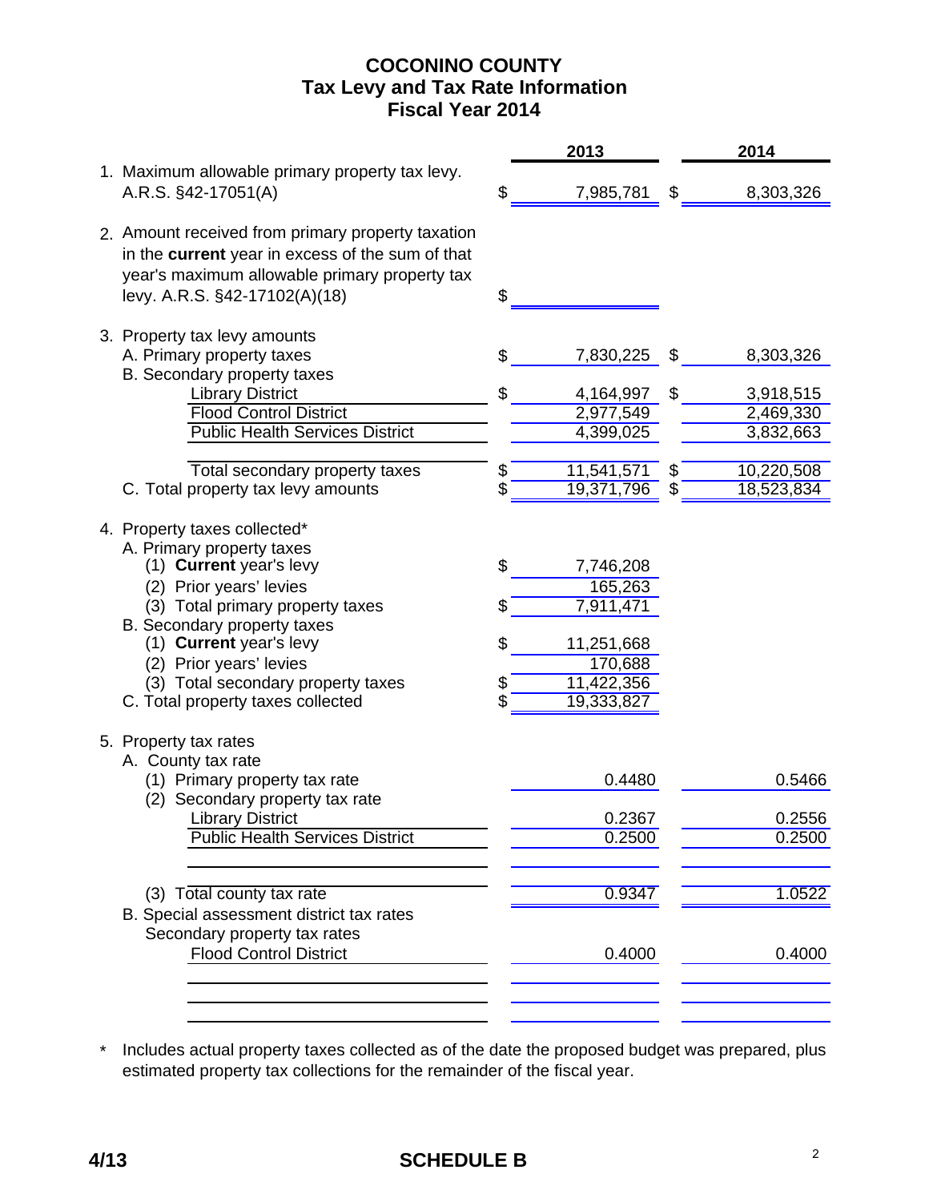# **COCONINO COUNTY Fiscal Year 2014 Tax Levy and Tax Rate Information**

|                                                                                                                                                                                         |    | 2013                     | 2014                   |
|-----------------------------------------------------------------------------------------------------------------------------------------------------------------------------------------|----|--------------------------|------------------------|
| 1. Maximum allowable primary property tax levy.<br>A.R.S. §42-17051(A)                                                                                                                  | \$ | 7,985,781                | \$<br>8,303,326        |
| 2. Amount received from primary property taxation<br>in the current year in excess of the sum of that<br>year's maximum allowable primary property tax<br>levy. A.R.S. §42-17102(A)(18) | \$ |                          |                        |
| 3. Property tax levy amounts<br>A. Primary property taxes                                                                                                                               | S. | 7,830,225                | \$<br>8,303,326        |
| B. Secondary property taxes                                                                                                                                                             | \$ |                          |                        |
| <b>Library District</b>                                                                                                                                                                 |    | 4,164,997                | \$<br>3,918,515        |
| <b>Flood Control District</b><br><b>Public Health Services District</b>                                                                                                                 |    | 2,977,549<br>4,399,025   | 2,469,330<br>3,832,663 |
| Total secondary property taxes                                                                                                                                                          | \$ | 11,541,571               | \$<br>10,220,508       |
| C. Total property tax levy amounts                                                                                                                                                      | \$ | 19,371,796               | \$<br>18,523,834       |
| 4. Property taxes collected*<br>A. Primary property taxes<br>(1) Current year's levy<br>(2) Prior years' levies                                                                         | \$ | 7,746,208<br>165,263     |                        |
| (3) Total primary property taxes<br>B. Secondary property taxes                                                                                                                         | \$ | 7,911,471                |                        |
| (1) Current year's levy                                                                                                                                                                 | \$ | 11,251,668               |                        |
| (2) Prior years' levies                                                                                                                                                                 |    | 170,688                  |                        |
| (3) Total secondary property taxes<br>C. Total property taxes collected                                                                                                                 | \$ | 11,422,356<br>19,333,827 |                        |
| 5. Property tax rates<br>A. County tax rate                                                                                                                                             |    |                          |                        |
| (1) Primary property tax rate<br>(2) Secondary property tax rate                                                                                                                        |    | 0.4480                   | 0.5466                 |
| <b>Library District</b>                                                                                                                                                                 |    | 0.2367                   | 0.2556                 |
| <b>Public Health Services District</b>                                                                                                                                                  |    | 0.2500                   | 0.2500                 |
|                                                                                                                                                                                         |    |                          |                        |
| (3) Total county tax rate<br>B. Special assessment district tax rates                                                                                                                   |    | 0.9347                   | 1.0522                 |
| Secondary property tax rates<br><b>Flood Control District</b>                                                                                                                           |    | 0.4000                   | 0.4000                 |
|                                                                                                                                                                                         |    |                          |                        |

\* Includes actual property taxes collected as of the date the proposed budget was prepared, plus estimated property tax collections for the remainder of the fiscal year.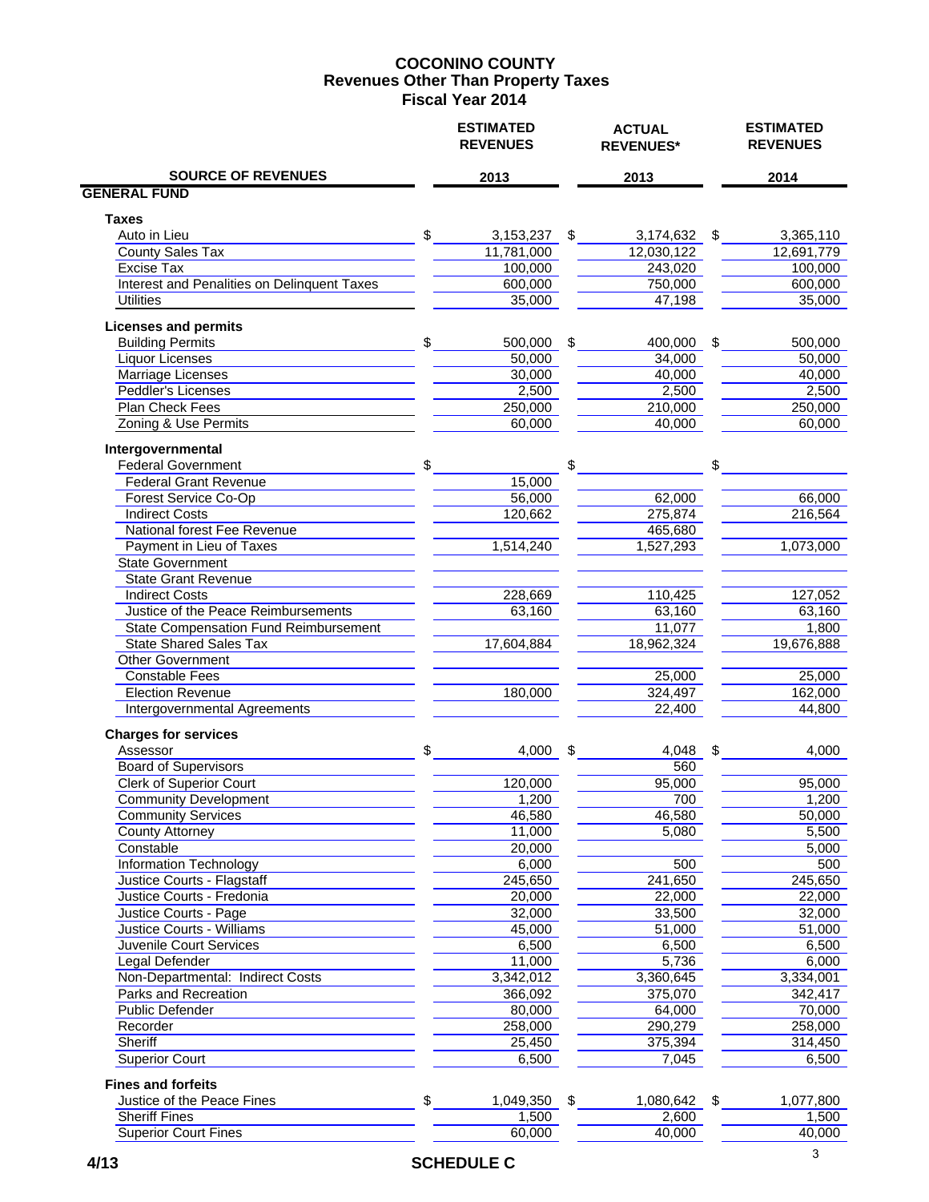#### **COCONINO COUNTY Fiscal Year 2014 Revenues Other Than Property Taxes**

|                                                | <b>ESTIMATED</b><br><b>REVENUES</b> | <b>ACTUAL</b><br><b>REVENUES*</b> |               | <b>ESTIMATED</b><br><b>REVENUES</b> |
|------------------------------------------------|-------------------------------------|-----------------------------------|---------------|-------------------------------------|
| <b>SOURCE OF REVENUES</b>                      | 2013                                | 2013                              |               | 2014                                |
| <b>GENERAL FUND</b>                            |                                     |                                   |               |                                     |
| <b>Taxes</b>                                   |                                     |                                   |               |                                     |
| Auto in Lieu                                   | \$<br>3,153,237                     | \$<br>3,174,632                   | $\sqrt[6]{3}$ | 3,365,110                           |
| <b>County Sales Tax</b>                        | 11,781,000                          | 12,030,122                        |               | 12,691,779                          |
| <b>Excise Tax</b>                              | 100,000                             | 243,020                           |               | 100,000                             |
| Interest and Penalities on Delinquent Taxes    | 600,000                             | 750,000                           |               | 600,000                             |
| <b>Utilities</b>                               | 35,000                              | 47,198                            |               | 35,000                              |
| <b>Licenses and permits</b>                    |                                     |                                   |               |                                     |
| <b>Building Permits</b>                        | \$<br>500,000                       | \$<br>400,000                     | \$            | 500,000                             |
| Liquor Licenses                                | 50,000                              | 34,000                            |               | 50,000                              |
| Marriage Licenses                              | 30,000                              | 40,000                            |               | 40,000                              |
| <b>Peddler's Licenses</b>                      | 2,500                               | 2,500                             |               | 2,500                               |
| Plan Check Fees<br>Zoning & Use Permits        | 250,000<br>60,000                   | 210,000<br>40,000                 |               | 250,000<br>60,000                   |
|                                                |                                     |                                   |               |                                     |
| Intergovernmental<br><b>Federal Government</b> | \$                                  | \$                                | \$            |                                     |
| <b>Federal Grant Revenue</b>                   | 15,000                              |                                   |               |                                     |
| <b>Forest Service Co-Op</b>                    | 56,000                              | 62,000                            |               | 66,000                              |
| <b>Indirect Costs</b>                          | 120,662                             | 275,874                           |               | 216,564                             |
| National forest Fee Revenue                    |                                     | 465,680                           |               |                                     |
| Payment in Lieu of Taxes                       | 1,514,240                           | 1,527,293                         |               | 1,073,000                           |
| <b>State Government</b>                        |                                     |                                   |               |                                     |
| <b>State Grant Revenue</b>                     |                                     |                                   |               |                                     |
| <b>Indirect Costs</b>                          | 228,669                             | 110,425                           |               | 127,052                             |
| Justice of the Peace Reimbursements            | 63,160                              | 63,160                            |               | 63,160                              |
| <b>State Compensation Fund Reimbursement</b>   |                                     | 11,077                            |               | 1,800                               |
| <b>State Shared Sales Tax</b>                  | 17,604,884                          | 18,962,324                        |               | 19,676,888                          |
| <b>Other Government</b>                        |                                     |                                   |               |                                     |
| <b>Constable Fees</b>                          |                                     | 25,000                            |               | 25,000                              |
| <b>Election Revenue</b>                        | 180,000                             | 324,497                           |               | 162,000                             |
| Intergovernmental Agreements                   |                                     | 22,400                            |               | 44,800                              |
| <b>Charges for services</b>                    |                                     |                                   |               |                                     |
| Assessor                                       | \$<br>4,000                         | \$<br>4,048                       | \$            | 4,000                               |
| <b>Board of Supervisors</b>                    |                                     | 560                               |               |                                     |
| <b>Clerk of Superior Court</b>                 | 120,000                             | 95,000                            |               | 95,000                              |
| <b>Community Development</b>                   | 1,200                               | 700                               |               | 1,200                               |
| <b>Community Services</b>                      | 46,580                              | 46,580                            |               | 50,000                              |
| County Attorney                                | 11,000                              | 5,080                             |               | 5,500                               |
| Constable                                      | 20,000                              |                                   |               | 5,000                               |
| <b>Information Technology</b>                  | 6,000                               | 500                               |               | 500                                 |
| Justice Courts - Flagstaff                     | 245,650                             | 241,650                           |               | 245,650                             |
| Justice Courts - Fredonia                      | 20,000                              | 22,000                            |               | 22,000                              |
| Justice Courts - Page                          | 32,000                              | 33,500                            |               | 32,000                              |
| Justice Courts - Williams                      | 45,000                              | 51,000                            |               | 51,000                              |
| Juvenile Court Services                        | 6,500                               | 6,500                             |               | 6,500                               |
| Legal Defender                                 | 11,000                              | 5,736                             |               | 6,000                               |
| Non-Departmental: Indirect Costs               | 3,342,012                           | 3,360,645                         |               | 3,334,001                           |
| Parks and Recreation                           | 366,092                             | 375,070                           |               | 342,417                             |
| <b>Public Defender</b>                         | 80,000                              | 64,000                            |               | 70,000                              |
| Recorder                                       | 258,000                             | 290,279                           |               | 258,000                             |
| Sheriff                                        | 25,450                              | 375,394                           |               | 314,450                             |
| <b>Superior Court</b>                          | 6,500                               | 7,045                             |               | 6,500                               |
| <b>Fines and forfeits</b>                      |                                     |                                   |               |                                     |
| Justice of the Peace Fines                     | \$<br>1,049,350 \$                  | 1,080,642 \$                      |               | 1,077,800                           |
| <b>Sheriff Fines</b>                           | 1,500                               | 2,600                             |               | 1,500                               |
| <b>Superior Court Fines</b>                    | 60,000                              | 40,000                            |               | 40,000                              |
|                                                |                                     |                                   |               |                                     |

 **4/13 SCHEDULE C**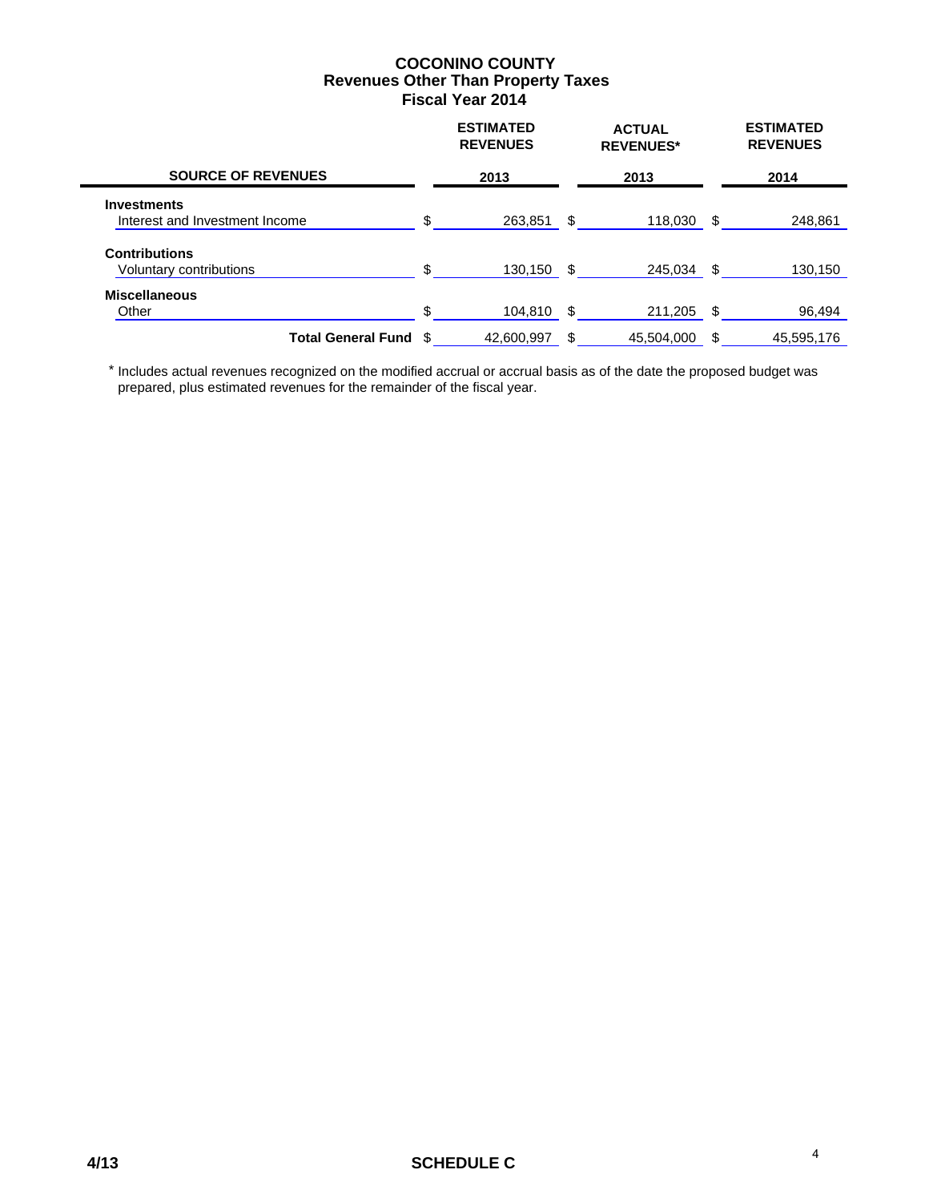#### **COCONINO COUNTY Fiscal Year 2014 Revenues Other Than Property Taxes**

|                                                      |    | <b>ESTIMATED</b><br><b>REVENUES</b> | <b>ACTUAL</b><br><b>REVENUES*</b> |      | <b>ESTIMATED</b><br><b>REVENUES</b> |
|------------------------------------------------------|----|-------------------------------------|-----------------------------------|------|-------------------------------------|
| <b>SOURCE OF REVENUES</b>                            |    | 2013                                | 2013                              |      | 2014                                |
| <b>Investments</b><br>Interest and Investment Income | \$ | 263,851                             | \$<br>118,030                     | - \$ | 248,861                             |
| <b>Contributions</b><br>Voluntary contributions      | \$ | 130,150                             | \$<br>245.034                     | -\$  | 130,150                             |
| <b>Miscellaneous</b><br>Other                        | \$ | 104.810                             | \$<br>211,205                     | \$   | 96,494                              |
| <b>Total General Fund</b>                            |    | 42,600,997                          | \$<br>45,504,000                  | \$   | 45,595,176                          |

 \* Includes actual revenues recognized on the modified accrual or accrual basis as of the date the proposed budget was prepared, plus estimated revenues for the remainder of the fiscal year.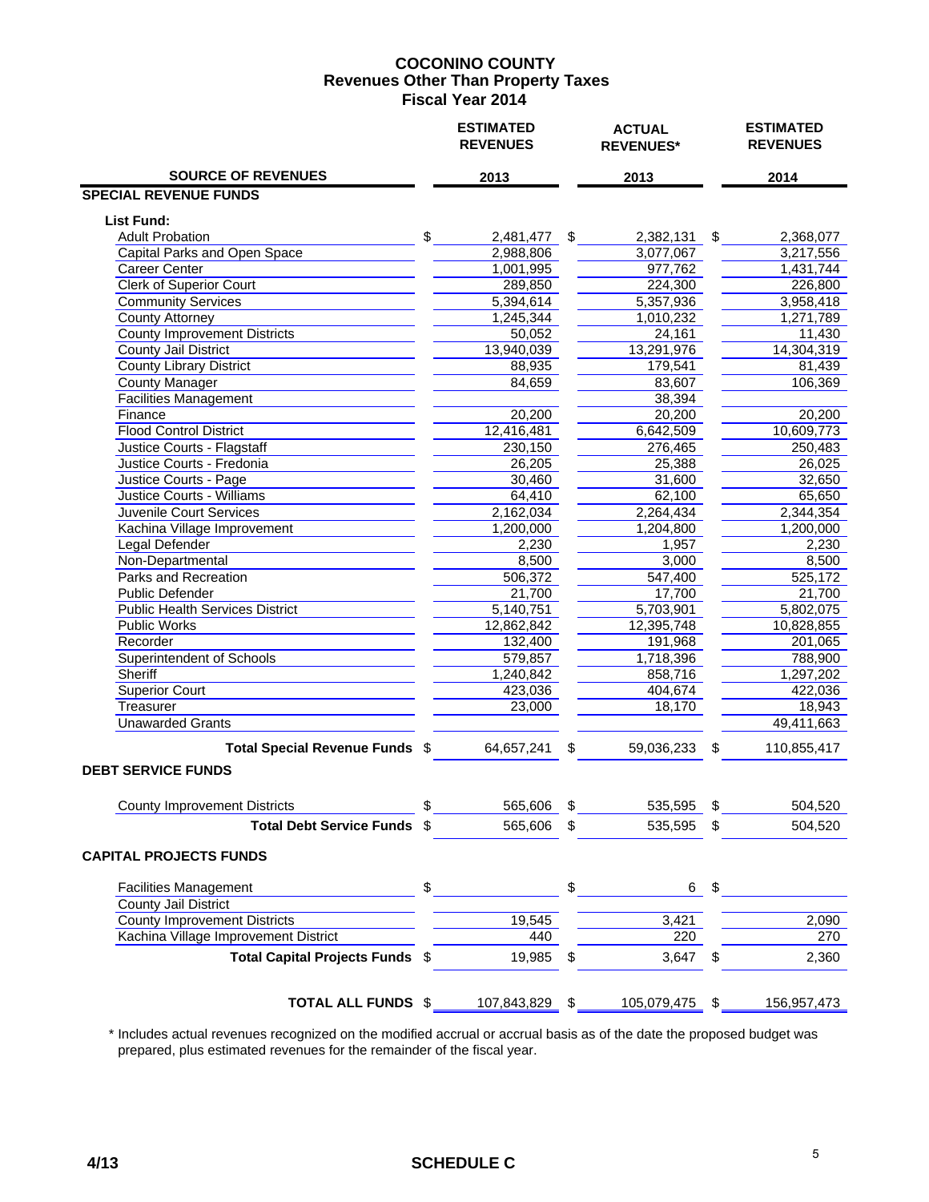#### **COCONINO COUNTY Fiscal Year 2014 Revenues Other Than Property Taxes**

|                                        | <b>ESTIMATED</b><br><b>REVENUES</b> | <b>ACTUAL</b><br><b>REVENUES*</b> | <b>ESTIMATED</b><br><b>REVENUES</b> |
|----------------------------------------|-------------------------------------|-----------------------------------|-------------------------------------|
| <b>SOURCE OF REVENUES</b>              | 2013                                | 2013                              | 2014                                |
| <b>SPECIAL REVENUE FUNDS</b>           |                                     |                                   |                                     |
| <b>List Fund:</b>                      |                                     |                                   |                                     |
| <b>Adult Probation</b>                 | \$<br>2,481,477                     | \$<br>2,382,131                   | \$<br>2,368,077                     |
| <b>Capital Parks and Open Space</b>    | 2,988,806                           | 3,077,067                         | 3,217,556                           |
| <b>Career Center</b>                   | 1,001,995                           | 977,762                           | 1,431,744                           |
| <b>Clerk of Superior Court</b>         | 289,850                             | 224,300                           | 226,800                             |
| <b>Community Services</b>              | 5,394,614                           | 5,357,936                         | 3,958,418                           |
| <b>County Attorney</b>                 | 1,245,344                           | 1,010,232                         | 1,271,789                           |
| <b>County Improvement Districts</b>    | 50,052                              | 24,161                            | 11,430                              |
| <b>County Jail District</b>            | 13,940,039                          | 13,291,976                        | 14,304,319                          |
| <b>County Library District</b>         | 88,935                              | 179,541                           | 81,439                              |
| <b>County Manager</b>                  | 84,659                              | 83,607                            | 106,369                             |
| Facilities Management                  |                                     | 38,394                            |                                     |
| Finance                                | 20,200                              | 20,200                            | 20,200                              |
| <b>Flood Control District</b>          | 12,416,481                          | 6,642,509                         | 10,609,773                          |
| Justice Courts - Flagstaff             | 230,150                             | 276,465                           | 250,483                             |
| Justice Courts - Fredonia              | 26,205                              | 25,388                            | 26,025                              |
| Justice Courts - Page                  | 30,460                              | 31,600                            | 32,650                              |
| Justice Courts - Williams              | 64,410                              | 62,100                            | 65,650                              |
| Juvenile Court Services                | 2,162,034                           | 2,264,434                         | 2,344,354                           |
| Kachina Village Improvement            | 1,200,000                           | 1,204,800                         | 1,200,000                           |
| <b>Legal Defender</b>                  | 2,230                               | 1,957                             | 2,230                               |
| Non-Departmental                       | 8,500                               | 3,000                             | 8,500                               |
| Parks and Recreation                   | 506,372                             | 547,400                           | 525,172                             |
| <b>Public Defender</b>                 | 21,700                              | 17,700                            | 21,700                              |
| <b>Public Health Services District</b> | 5,140,751                           | 5,703,901                         | 5,802,075                           |
| Public Works                           | 12,862,842                          | 12,395,748                        | 10,828,855                          |
| Recorder                               | 132,400                             | 191,968                           | 201,065                             |
| <b>Superintendent of Schools</b>       | 579,857                             | 1,718,396                         | 788,900                             |
| Sheriff                                | 1,240,842                           | 858,716                           | 1,297,202                           |
| <b>Superior Court</b>                  | 423,036                             | 404,674                           | 422,036                             |
| Treasurer                              | 23,000                              | 18,170                            | 18,943                              |
| <b>Unawarded Grants</b>                |                                     |                                   | 49,411,663                          |
| Total Special Revenue Funds \$         | 64,657,241                          | \$<br>59,036,233                  | \$<br>110,855,417                   |
| <b>DEBT SERVICE FUNDS</b>              |                                     |                                   |                                     |
|                                        |                                     |                                   |                                     |
| <b>County Improvement Districts</b>    | \$<br>565,606                       | \$<br>535,595                     | \$<br>504,520                       |
| <b>Total Debt Service Funds</b>        | \$<br>565,606                       | \$<br>535,595                     | \$<br>504,520                       |
| <b>CAPITAL PROJECTS FUNDS</b>          |                                     |                                   |                                     |
| <b>Facilities Management</b>           | \$                                  | \$<br>6                           | \$                                  |
| <b>County Jail District</b>            |                                     |                                   |                                     |
| <b>County Improvement Districts</b>    | 19,545                              | 3,421                             | 2,090                               |
| Kachina Village Improvement District   | 440                                 | 220                               | 270                                 |
| Total Capital Projects Funds \$        | 19,985                              | \$<br>3,647                       | \$<br>2,360                         |
|                                        |                                     |                                   |                                     |
| <b>TOTAL ALL FUNDS \$</b>              | 107,843,829 \$                      | 105,079,475 \$                    | 156,957,473                         |

 \* Includes actual revenues recognized on the modified accrual or accrual basis as of the date the proposed budget was prepared, plus estimated revenues for the remainder of the fiscal year.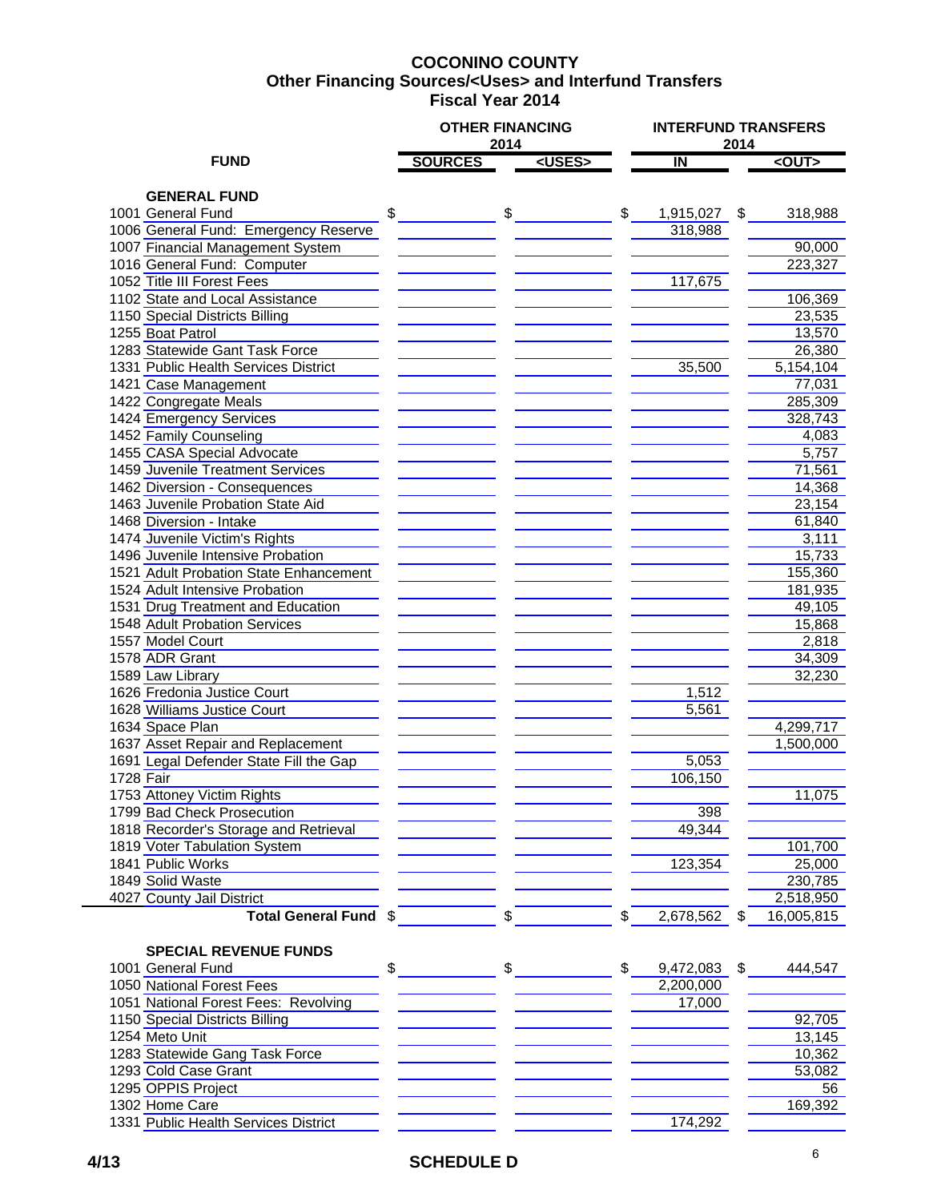## **COCONINO COUNTY Fiscal Year 2014 Other Financing Sources/<Uses> and Interfund Transfers**

|                                                                    | <b>OTHER FINANCING</b> | 2014 |               |               |           | 2014 | <b>INTERFUND TRANSFERS</b> |  |  |  |
|--------------------------------------------------------------------|------------------------|------|---------------|---------------|-----------|------|----------------------------|--|--|--|
| <b>FUND</b>                                                        | <b>SOURCES</b>         |      | <uses></uses> |               | IN        |      | <out></out>                |  |  |  |
|                                                                    |                        |      |               |               |           |      |                            |  |  |  |
| <b>GENERAL FUND</b>                                                |                        |      |               |               |           |      |                            |  |  |  |
| 1001 General Fund                                                  | \$                     | \$   |               | \$            | 1,915,027 | \$   | 318,988                    |  |  |  |
| 1006 General Fund: Emergency Reserve                               |                        |      |               |               | 318,988   |      |                            |  |  |  |
| 1007 Financial Management System                                   |                        |      |               |               |           |      | 90,000                     |  |  |  |
| 1016 General Fund: Computer                                        |                        |      |               |               |           |      | 223,327                    |  |  |  |
| 1052 Title III Forest Fees                                         |                        |      |               |               | 117,675   |      |                            |  |  |  |
| 1102 State and Local Assistance                                    |                        |      |               |               |           |      | 106,369                    |  |  |  |
| 1150 Special Districts Billing                                     |                        |      |               |               |           |      | 23,535                     |  |  |  |
| 1255 Boat Patrol                                                   |                        |      |               |               |           |      | 13,570                     |  |  |  |
| 1283 Statewide Gant Task Force                                     |                        |      |               |               |           |      | 26,380                     |  |  |  |
| 1331 Public Health Services District                               |                        |      |               |               | 35,500    |      | 5,154,104                  |  |  |  |
| 1421 Case Management                                               |                        |      |               |               |           |      | 77,031                     |  |  |  |
| 1422 Congregate Meals                                              |                        |      |               |               |           |      | 285,309                    |  |  |  |
| 1424 Emergency Services                                            |                        |      |               |               |           |      | 328,743                    |  |  |  |
| 1452 Family Counseling<br>1455 CASA Special Advocate               |                        |      |               |               |           |      | 4,083<br>5,757             |  |  |  |
|                                                                    |                        |      |               |               |           |      |                            |  |  |  |
| 1459 Juvenile Treatment Services                                   |                        |      |               |               |           |      | 71,561                     |  |  |  |
| 1462 Diversion - Consequences<br>1463 Juvenile Probation State Aid |                        |      |               |               |           |      | 14,368                     |  |  |  |
| 1468 Diversion - Intake                                            |                        |      |               |               |           |      | 23,154<br>61,840           |  |  |  |
| 1474 Juvenile Victim's Rights                                      |                        |      |               |               |           |      | 3,111                      |  |  |  |
| 1496 Juvenile Intensive Probation                                  |                        |      |               |               |           |      | 15,733                     |  |  |  |
| 1521 Adult Probation State Enhancement                             |                        |      |               |               |           |      | 155,360                    |  |  |  |
| 1524 Adult Intensive Probation                                     |                        |      |               |               |           |      | 181,935                    |  |  |  |
| 1531 Drug Treatment and Education                                  |                        |      |               |               |           |      | 49,105                     |  |  |  |
| 1548 Adult Probation Services                                      |                        |      |               |               |           |      | 15,868                     |  |  |  |
| 1557 Model Court                                                   |                        |      |               |               |           |      | 2,818                      |  |  |  |
| 1578 ADR Grant                                                     |                        |      |               |               |           |      | 34,309                     |  |  |  |
| 1589 Law Library                                                   |                        |      |               |               |           |      | 32,230                     |  |  |  |
| 1626 Fredonia Justice Court                                        |                        |      |               |               | 1,512     |      |                            |  |  |  |
| 1628 Williams Justice Court                                        |                        |      |               |               | 5,561     |      |                            |  |  |  |
| 1634 Space Plan                                                    |                        |      |               |               |           |      | 4,299,717                  |  |  |  |
| 1637 Asset Repair and Replacement                                  |                        |      |               |               |           |      | 1,500,000                  |  |  |  |
| 1691 Legal Defender State Fill the Gap                             |                        |      |               |               | 5,053     |      |                            |  |  |  |
| 1728 Fair                                                          |                        |      |               |               | 106,150   |      |                            |  |  |  |
| 1753 Attoney Victim Rights                                         |                        |      |               |               |           |      | 11,075                     |  |  |  |
| 1799 Bad Check Prosecution                                         |                        |      |               |               | 398       |      |                            |  |  |  |
| 1818 Recorder's Storage and Retrieval                              |                        |      |               |               | 49,344    |      |                            |  |  |  |
| 1819 Voter Tabulation System                                       |                        |      |               |               |           |      | 101,700                    |  |  |  |
| 1841 Public Works                                                  |                        |      |               |               | 123,354   |      | 25,000                     |  |  |  |
| 1849 Solid Waste                                                   |                        |      |               |               |           |      | 230,785                    |  |  |  |
| 4027 County Jail District                                          |                        |      |               |               |           |      | 2,518,950                  |  |  |  |
| Total General Fund \$                                              |                        |      |               | \$            | 2,678,562 | \$   | 16,005,815                 |  |  |  |
|                                                                    |                        |      |               |               |           |      |                            |  |  |  |
| <b>SPECIAL REVENUE FUNDS</b>                                       |                        |      |               |               |           |      |                            |  |  |  |
| 1001 General Fund                                                  | \$                     | \$   |               | $\frac{1}{2}$ | 9,472,083 | \$   | 444,547                    |  |  |  |
| 1050 National Forest Fees                                          |                        |      |               |               | 2,200,000 |      |                            |  |  |  |
| 1051 National Forest Fees: Revolving                               |                        |      |               |               | 17,000    |      |                            |  |  |  |
| 1150 Special Districts Billing                                     |                        |      |               |               |           |      | 92,705                     |  |  |  |
| 1254 Meto Unit                                                     |                        |      |               |               |           |      | 13,145                     |  |  |  |
| 1283 Statewide Gang Task Force                                     |                        |      |               |               |           |      | 10,362                     |  |  |  |
| 1293 Cold Case Grant                                               |                        |      |               |               |           |      | 53,082                     |  |  |  |
| 1295 OPPIS Project                                                 |                        |      |               |               |           |      | 56                         |  |  |  |
| 1302 Home Care                                                     |                        |      |               |               |           |      | 169,392                    |  |  |  |
| 1331 Public Health Services District                               |                        |      |               |               | 174,292   |      |                            |  |  |  |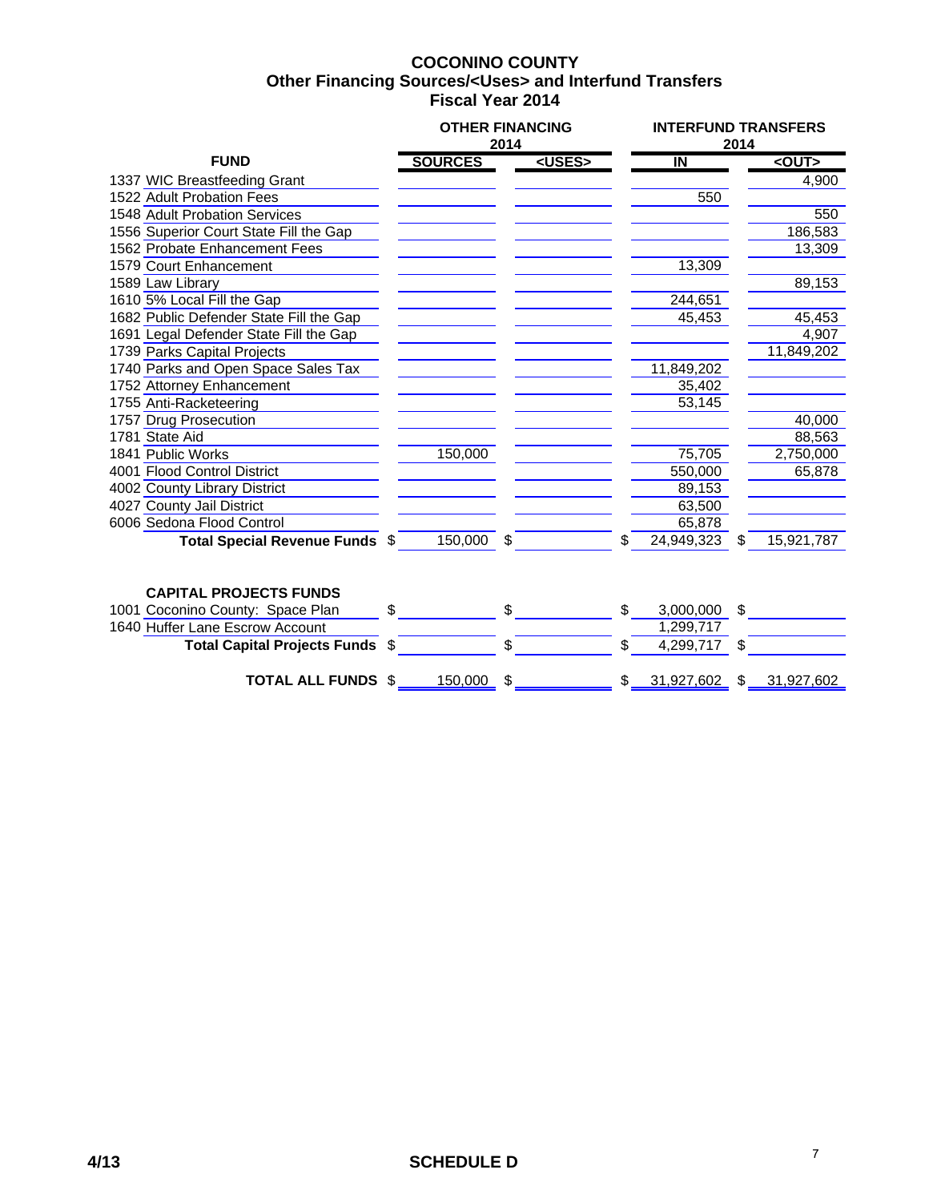### **COCONINO COUNTY Fiscal Year 2014 Other Financing Sources/<Uses> and Interfund Transfers**

|                                         |    | <b>OTHER FINANCING</b> | 2014 |               | <b>INTERFUND TRANSFERS</b><br>2014 |            |    |             |  |  |
|-----------------------------------------|----|------------------------|------|---------------|------------------------------------|------------|----|-------------|--|--|
| <b>FUND</b>                             |    | <b>SOURCES</b>         |      | <uses></uses> |                                    | IN         |    | $<$ OUT $>$ |  |  |
| 1337 WIC Breastfeeding Grant            |    |                        |      |               |                                    |            |    | 4,900       |  |  |
| 1522 Adult Probation Fees               |    |                        |      |               |                                    | 550        |    |             |  |  |
| 1548 Adult Probation Services           |    |                        |      |               |                                    |            |    | 550         |  |  |
| 1556 Superior Court State Fill the Gap  |    |                        |      |               |                                    |            |    | 186,583     |  |  |
| 1562 Probate Enhancement Fees           |    |                        |      |               |                                    |            |    | 13,309      |  |  |
| 1579 Court Enhancement                  |    |                        |      |               |                                    | 13,309     |    |             |  |  |
| 1589 Law Library                        |    |                        |      |               |                                    |            |    | 89,153      |  |  |
| 1610 5% Local Fill the Gap              |    |                        |      |               |                                    | 244,651    |    |             |  |  |
| 1682 Public Defender State Fill the Gap |    |                        |      |               |                                    | 45,453     |    | 45,453      |  |  |
| 1691 Legal Defender State Fill the Gap  |    |                        |      |               |                                    |            |    | 4,907       |  |  |
| 1739 Parks Capital Projects             |    |                        |      |               |                                    |            |    | 11,849,202  |  |  |
| 1740 Parks and Open Space Sales Tax     |    |                        |      |               |                                    | 11,849,202 |    |             |  |  |
| 1752 Attorney Enhancement               |    |                        |      |               |                                    | 35,402     |    |             |  |  |
| 1755 Anti-Racketeering                  |    |                        |      |               |                                    | 53,145     |    |             |  |  |
| 1757 Drug Prosecution                   |    |                        |      |               |                                    |            |    | 40,000      |  |  |
| 1781 State Aid                          |    |                        |      |               |                                    |            |    | 88,563      |  |  |
| 1841 Public Works                       |    | 150,000                |      |               |                                    | 75,705     |    | 2,750,000   |  |  |
| 4001 Flood Control District             |    |                        |      |               |                                    | 550,000    |    | 65,878      |  |  |
| 4002 County Library District            |    |                        |      |               |                                    | 89,153     |    |             |  |  |
| 4027 County Jail District               |    |                        |      |               |                                    | 63,500     |    |             |  |  |
| 6006 Sedona Flood Control               |    |                        |      |               |                                    | 65,878     |    |             |  |  |
| Total Special Revenue Funds \$          |    | 150,000 \$             |      |               | \$                                 | 24,949,323 | \$ | 15,921,787  |  |  |
|                                         |    |                        |      |               |                                    |            |    |             |  |  |
| <b>CAPITAL PROJECTS FUNDS</b>           |    |                        |      |               |                                    |            |    |             |  |  |
| 1001 Coconino County: Space Plan        | \$ |                        | \$   |               | \$.                                | 3,000,000  | \$ |             |  |  |
| 1640 Huffer Lane Escrow Account         |    |                        |      |               |                                    | 1,299,717  |    |             |  |  |

**Total Capital Projects Funds** \$ \$ \$ 4,299,717 \$

**TOTAL ALL FUNDS**  $\frac{$150,000}{$1000}$   $\frac{$150,000}{$1000}$   $\frac{$150,000}{$1000}$   $\frac{$150,000}{$1000}$   $\frac{$150,000}{$1000}$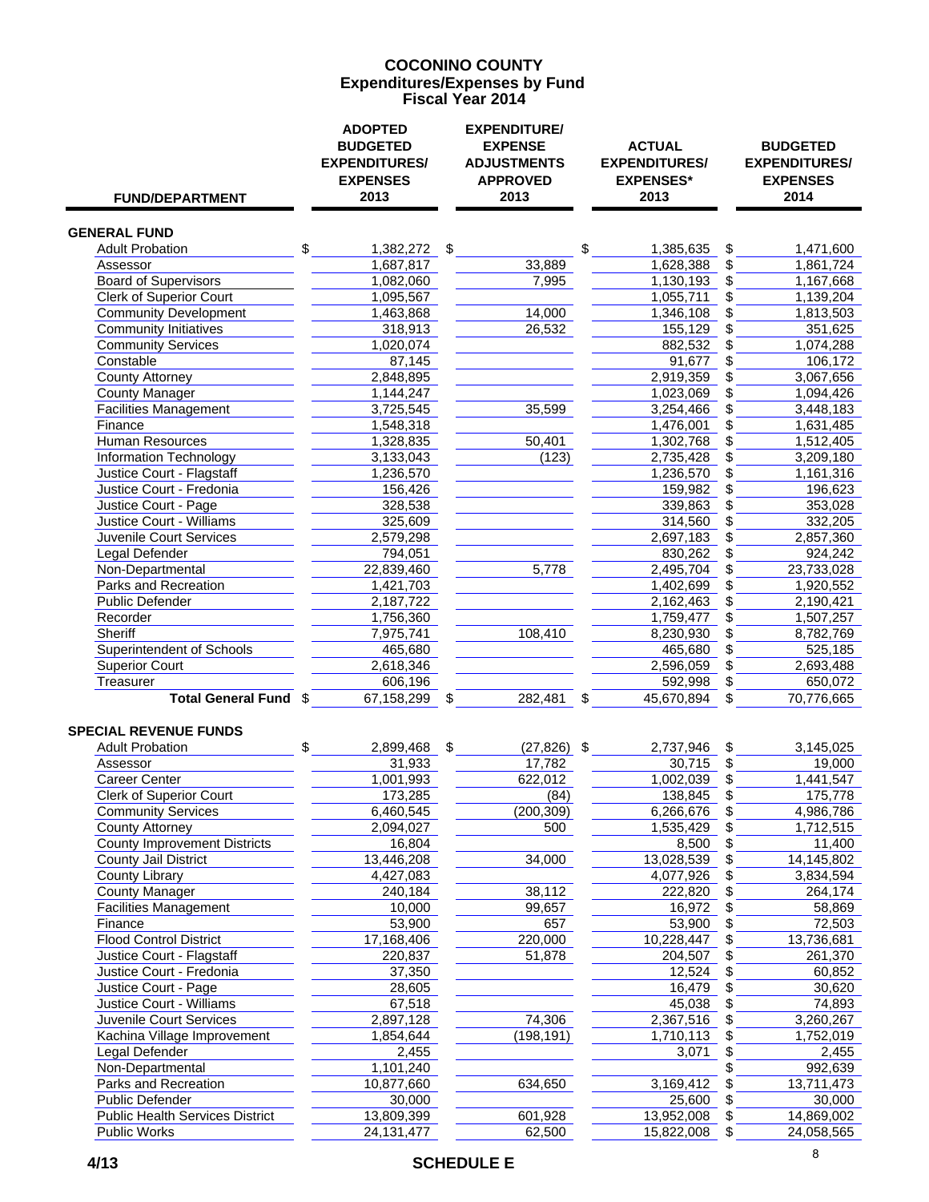#### **COCONINO COUNTY Fiscal Year 2014 Expenditures/Expenses by Fund**

| <b>FUND/DEPARTMENT</b>                                     | <b>ADOPTED</b><br><b>BUDGETED</b><br><b>EXPENDITURES/</b><br><b>EXPENSES</b><br>2013 | <b>EXPENDITURE/</b><br><b>EXPENSE</b><br><b>ADJUSTMENTS</b><br><b>APPROVED</b><br>2013 | <b>ACTUAL</b><br><b>EXPENDITURES/</b><br><b>EXPENSES*</b><br>2013 | <b>BUDGETED</b><br><b>EXPENDITURES/</b><br><b>EXPENSES</b><br>2014 |
|------------------------------------------------------------|--------------------------------------------------------------------------------------|----------------------------------------------------------------------------------------|-------------------------------------------------------------------|--------------------------------------------------------------------|
| <b>GENERAL FUND</b>                                        |                                                                                      |                                                                                        |                                                                   |                                                                    |
| <b>Adult Probation</b>                                     | \$<br>1,382,272 \$                                                                   |                                                                                        | \$<br>1,385,635                                                   | \$<br>1,471,600                                                    |
| Assessor                                                   | 1,687,817                                                                            | 33,889                                                                                 | 1,628,388                                                         | \$<br>1,861,724                                                    |
| <b>Board of Supervisors</b>                                | 1,082,060                                                                            | 7,995                                                                                  | 1,130,193                                                         | \$<br>1,167,668                                                    |
| <b>Clerk of Superior Court</b>                             | 1,095,567                                                                            |                                                                                        | 1,055,711                                                         | 1,139,204                                                          |
| <b>Community Development</b>                               | 1,463,868                                                                            | 14,000                                                                                 | 1,346,108                                                         | \$<br>1,813,503                                                    |
| <b>Community Initiatives</b>                               | 318,913                                                                              | 26,532                                                                                 | 155,129                                                           | \$<br>351,625                                                      |
| <b>Community Services</b>                                  | 1,020,074                                                                            |                                                                                        | 882,532                                                           | \$<br>1,074,288                                                    |
| Constable                                                  | 87,145                                                                               |                                                                                        | 91,677                                                            | 106,172                                                            |
| <b>County Attorney</b>                                     | 2,848,895                                                                            |                                                                                        | 2,919,359                                                         | 3,067,656                                                          |
| <b>County Manager</b>                                      | 1,144,247                                                                            |                                                                                        | 1,023,069                                                         | \$<br>1,094,426                                                    |
| <b>Facilities Management</b>                               | 3,725,545                                                                            | 35,599                                                                                 | 3,254,466                                                         | \$<br>3,448,183                                                    |
| Finance                                                    | 1,548,318                                                                            |                                                                                        | 1,476,001                                                         | \$<br>1,631,485                                                    |
| <b>Human Resources</b>                                     | 1,328,835                                                                            | 50,401                                                                                 | 1,302,768                                                         | \$<br>1,512,405                                                    |
| <b>Information Technology</b>                              | 3,133,043                                                                            | (123)                                                                                  | 2,735,428                                                         | \$<br>3,209,180                                                    |
| Justice Court - Flagstaff                                  | 1,236,570                                                                            |                                                                                        | 1,236,570                                                         | \$<br>1,161,316                                                    |
| Justice Court - Fredonia                                   | 156,426                                                                              |                                                                                        | 159,982                                                           | \$<br>196,623                                                      |
| Justice Court - Page                                       | 328,538                                                                              |                                                                                        | 339,863                                                           | \$<br>353,028                                                      |
| <b>Justice Court - Williams</b>                            | 325,609                                                                              |                                                                                        | 314,560                                                           | \$<br>332,205                                                      |
| Juvenile Court Services                                    | 2,579,298                                                                            |                                                                                        | 2,697,183                                                         | \$<br>2,857,360                                                    |
| Legal Defender                                             | 794,051                                                                              |                                                                                        | 830,262                                                           | \$<br>924,242                                                      |
| Non-Departmental                                           | 22,839,460                                                                           | 5,778                                                                                  | 2,495,704                                                         | 23,733,028                                                         |
| Parks and Recreation                                       | 1,421,703                                                                            |                                                                                        | 1,402,699                                                         | \$<br>1,920,552                                                    |
| <b>Public Defender</b>                                     | 2,187,722                                                                            |                                                                                        | 2,162,463                                                         | \$<br>2,190,421                                                    |
| Recorder                                                   | 1,756,360                                                                            |                                                                                        | 1,759,477                                                         | \$<br>1,507,257                                                    |
| <b>Sheriff</b>                                             | 7,975,741                                                                            | 108,410                                                                                | 8,230,930                                                         | 8,782,769                                                          |
| <b>Superintendent of Schools</b>                           | 465,680                                                                              |                                                                                        | 465,680                                                           | \$<br>525,185                                                      |
| <b>Superior Court</b>                                      | 2,618,346                                                                            |                                                                                        | 2,596,059                                                         | \$<br>2,693,488                                                    |
| Treasurer                                                  | 606,196                                                                              |                                                                                        | 592,998                                                           | \$<br>650,072                                                      |
| <b>Total General Fund \$</b>                               | 67,158,299<br>\$                                                                     | 282,481                                                                                | 45,670,894                                                        | 70,776,665                                                         |
| <b>SPECIAL REVENUE FUNDS</b>                               |                                                                                      |                                                                                        |                                                                   |                                                                    |
| <b>Adult Probation</b>                                     | \$<br>2,899,468 \$                                                                   | $(27, 826)$ \$                                                                         | 2,737,946                                                         | \$<br>3,145,025                                                    |
| Assessor                                                   | 31,933                                                                               | 17,782                                                                                 | 30,715                                                            | \$<br>19,000                                                       |
| <b>Career Center</b>                                       | 1,001,993                                                                            | 622,012                                                                                | 1,002,039                                                         | 1,441,547                                                          |
| <b>Clerk of Superior Court</b>                             | 173,285                                                                              | (84)                                                                                   | 138,845                                                           | \$<br>175,778                                                      |
| <b>Community Services</b>                                  | 6,460,545                                                                            | (200, 309)                                                                             | 6,266,676                                                         | \$<br>4,986,786                                                    |
| County Attorney                                            | 2,094,027                                                                            | 500                                                                                    | 1,535,429                                                         | 1,712,515                                                          |
| <b>County Improvement Districts</b>                        | 16,804                                                                               |                                                                                        | 8,500                                                             | \$<br>11,400                                                       |
| County Jail District                                       | 13,446,208                                                                           | 34,000                                                                                 | 13,028,539                                                        | 14,145,802                                                         |
| <b>County Library</b>                                      | 4,427,083                                                                            |                                                                                        | 4,077,926                                                         | \$<br>3,834,594                                                    |
| <b>County Manager</b>                                      | 240,184                                                                              | 38,112                                                                                 | 222,820                                                           | \$<br>264,174                                                      |
| <b>Facilities Management</b>                               | 10,000                                                                               | 99,657                                                                                 | 16,972                                                            | \$<br>58,869                                                       |
| Finance                                                    | 53,900                                                                               | 657                                                                                    | 53,900                                                            | 72,503                                                             |
| <b>Flood Control District</b><br>Justice Court - Flagstaff | 17,168,406                                                                           | 220,000                                                                                | 10,228,447                                                        | \$<br>13,736,681                                                   |
|                                                            | 220,837                                                                              | 51,878                                                                                 | 204,507                                                           | \$<br>261,370                                                      |
| Justice Court - Fredonia                                   | 37,350                                                                               |                                                                                        | 12,524                                                            | \$<br>60,852                                                       |
| Justice Court - Page<br>Justice Court - Williams           | 28,605<br>67,518                                                                     |                                                                                        | 16,479<br>45,038                                                  | 30,620<br>74,893                                                   |
| Juvenile Court Services                                    | 2,897,128                                                                            | 74,306                                                                                 | 2,367,516                                                         | 3,260,267                                                          |
| Kachina Village Improvement                                | 1,854,644                                                                            | (198, 191)                                                                             | 1,710,113                                                         | \$<br>1,752,019                                                    |
| Legal Defender                                             | 2,455                                                                                |                                                                                        | 3,071                                                             | \$<br>2,455                                                        |
| Non-Departmental                                           | 1,101,240                                                                            |                                                                                        |                                                                   | 992,639                                                            |
| Parks and Recreation                                       | 10,877,660                                                                           | 634,650                                                                                | 3,169,412                                                         | \$<br>13,711,473                                                   |
| Public Defender                                            | 30,000                                                                               |                                                                                        | 25,600                                                            | \$<br>30,000                                                       |
| <b>Public Health Services District</b>                     | 13,809,399                                                                           | 601,928                                                                                | 13,952,008                                                        | \$<br>14,869,002                                                   |
| Public Works                                               | 24, 131, 477                                                                         | 62,500                                                                                 | 15,822,008                                                        | \$<br>24,058,565                                                   |
|                                                            |                                                                                      |                                                                                        |                                                                   |                                                                    |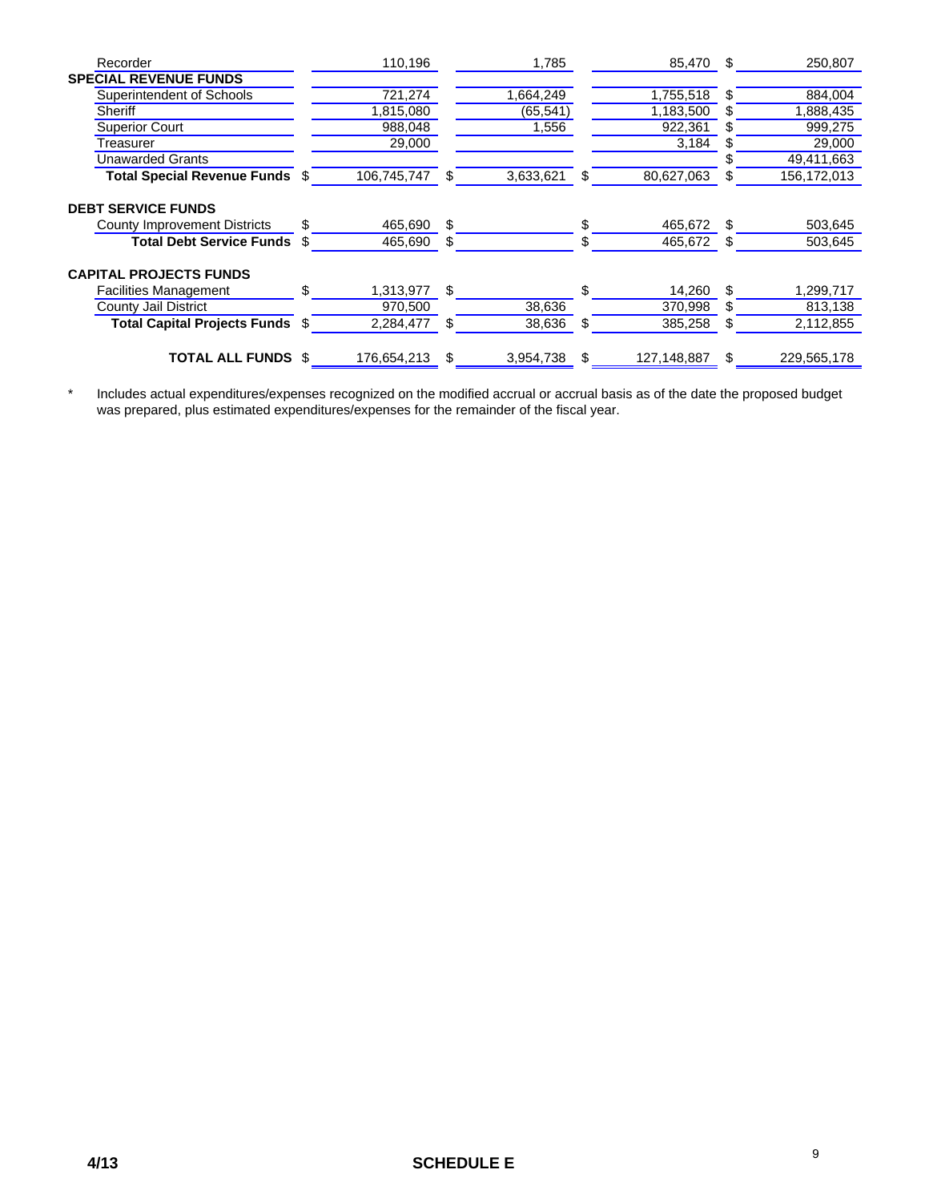| Recorder                            |     | 110,196     |     | 1,785     |     | 85,470 \$   |     | 250,807     |
|-------------------------------------|-----|-------------|-----|-----------|-----|-------------|-----|-------------|
| <b>SPECIAL REVENUE FUNDS</b>        |     |             |     |           |     |             |     |             |
| Superintendent of Schools           |     | 721,274     |     | 1,664,249 |     | 1,755,518   | S   | 884,004     |
| Sheriff                             |     | 1,815,080   |     | (65, 541) |     | 1,183,500   | SS. | 1,888,435   |
| <b>Superior Court</b>               |     | 988,048     |     | 1,556     |     | 922,361     | S   | 999,275     |
| Treasurer                           |     | 29,000      |     |           |     | 3,184       | S   | 29,000      |
| <b>Unawarded Grants</b>             |     |             |     |           |     |             |     | 49,411,663  |
| Total Special Revenue Funds \$      |     | 106,745,747 | \$. | 3,633,621 | S   | 80,627,063  | S   | 156,172,013 |
| <b>DEBT SERVICE FUNDS</b>           |     |             |     |           |     |             |     |             |
| <b>County Improvement Districts</b> | \$  | 465,690     | \$  |           | \$. | 465,672     | \$. | 503,645     |
| <b>Total Debt Service Funds</b>     | \$  | 465,690     | \$. |           |     | 465,672     | \$. | 503,645     |
| <b>CAPITAL PROJECTS FUNDS</b>       |     |             |     |           |     |             |     |             |
| <b>Facilities Management</b>        | \$. | 1,313,977   | \$  |           | \$  | 14,260      | \$. | 1,299,717   |
| County Jail District                |     | 970.500     |     | 38,636    |     | 370,998     | S   | 813,138     |
| <b>Total Capital Projects Funds</b> | \$  | 2,284,477   | \$  | 38,636    | \$  | 385,258     | \$  | 2,112,855   |
| <b>TOTAL ALL FUNDS</b>              | -\$ | 176,654,213 | \$  | 3,954,738 | \$. | 127,148,887 | \$  | 229,565,178 |

\* Includes actual expenditures/expenses recognized on the modified accrual or accrual basis as of the date the proposed budget was prepared, plus estimated expenditures/expenses for the remainder of the fiscal year.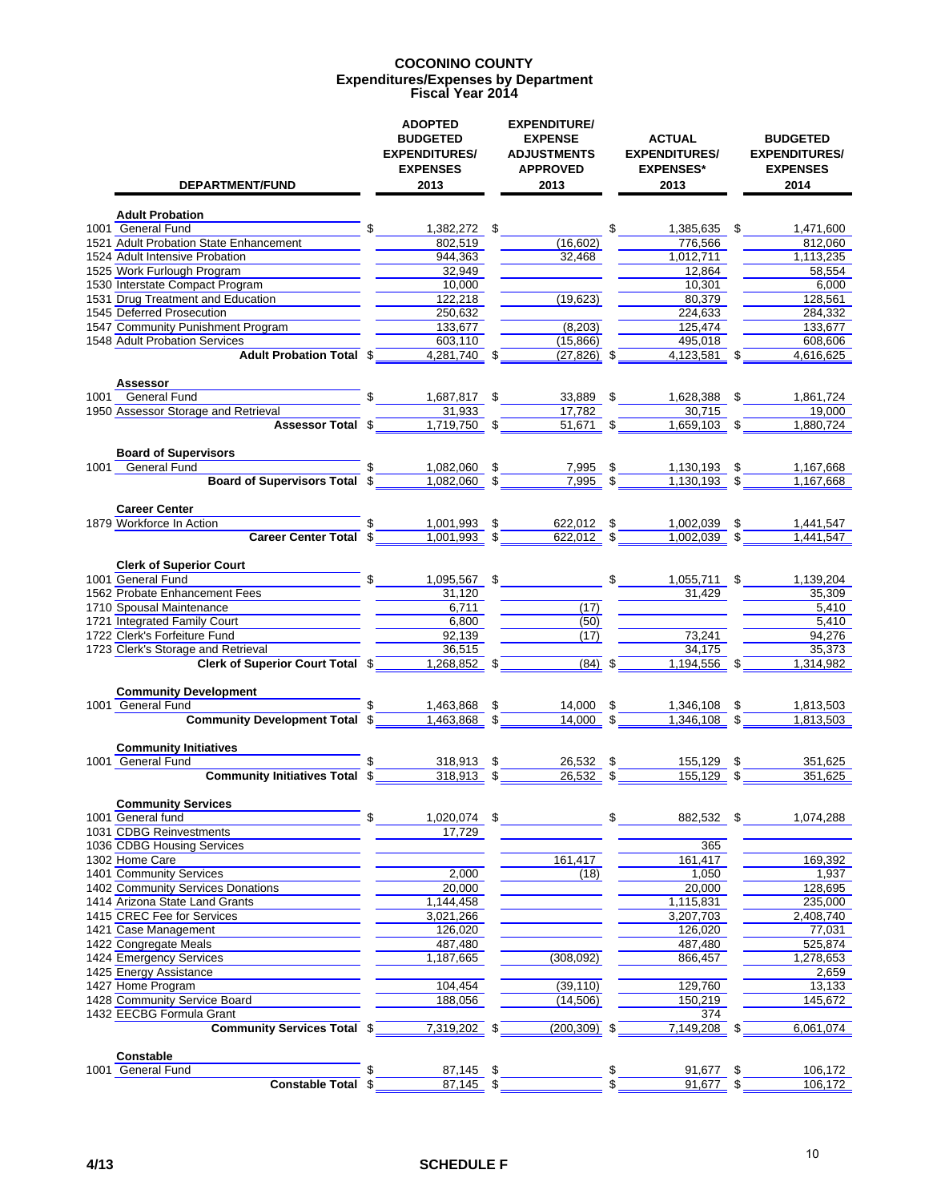#### **COCONINO COUNTY Expenditures/Expenses by Department Fiscal Year 2014**

| DEPARTMENT/FUND                                          | <b>ADOPTED</b><br><b>BUDGETED</b><br><b>EXPENDITURES/</b><br><b>EXPENSES</b><br>2013 |    | <b>EXPENDITURE/</b><br><b>EXPENSE</b><br><b>ADJUSTMENTS</b><br><b>APPROVED</b><br>2013 |              | <b>ACTUAL</b><br><b>EXPENDITURES/</b><br><b>EXPENSES*</b><br>2013 |     | <b>BUDGETED</b><br><b>EXPENDITURES/</b><br><b>EXPENSES</b><br>2014 |
|----------------------------------------------------------|--------------------------------------------------------------------------------------|----|----------------------------------------------------------------------------------------|--------------|-------------------------------------------------------------------|-----|--------------------------------------------------------------------|
| <b>Adult Probation</b>                                   |                                                                                      |    |                                                                                        |              |                                                                   |     |                                                                    |
| 1001 General Fund                                        | \$<br>1.382.272 \$                                                                   |    |                                                                                        | \$           | 1,385,635 \$                                                      |     | 1,471,600                                                          |
| 1521 Adult Probation State Enhancement                   | 802,519                                                                              |    | (16, 602)                                                                              |              | 776,566                                                           |     | 812,060                                                            |
| 1524 Adult Intensive Probation                           | 944,363                                                                              |    | 32,468                                                                                 |              | 1,012,711                                                         |     | 1,113,235                                                          |
| 1525 Work Furlough Program                               | 32.949                                                                               |    |                                                                                        |              | 12,864                                                            |     | 58,554                                                             |
| 1530 Interstate Compact Program                          | 10,000                                                                               |    |                                                                                        |              | 10,301                                                            |     | 6,000                                                              |
| 1531 Drug Treatment and Education                        | 122,218                                                                              |    | (19,623)                                                                               |              | 80,379                                                            |     | 128,561                                                            |
| 1545 Deferred Prosecution                                | 250,632                                                                              |    |                                                                                        |              | 224,633                                                           |     | 284,332                                                            |
| 1547 Community Punishment Program                        | 133,677                                                                              |    | (8, 203)                                                                               |              | 125,474                                                           |     | 133,677                                                            |
| 1548 Adult Probation Services                            | 603,110                                                                              |    | (15,866)                                                                               |              | 495,018                                                           |     | 608,606                                                            |
| <b>Adult Probation Total \$</b>                          | 4,281,740 \$                                                                         |    | $(27, 826)$ \$                                                                         |              | 4,123,581                                                         | \$  | 4,616,625                                                          |
| Assessor<br><b>General Fund</b><br>1001                  | \$<br>1,687,817 \$                                                                   |    | 33,889 \$                                                                              |              | 1,628,388                                                         | \$  | 1,861,724                                                          |
| 1950 Assessor Storage and Retrieval                      | 31,933                                                                               |    | 17,782                                                                                 |              | 30,715                                                            |     | 19,000                                                             |
| <b>Assessor Total \$</b>                                 | $1,719,750$ \$                                                                       |    | 51,671 \$                                                                              |              | $1,659,103$ \$                                                    |     | 1,880,724                                                          |
| <b>Board of Supervisors</b>                              |                                                                                      |    |                                                                                        |              |                                                                   |     |                                                                    |
| General Fund<br>1001                                     | 1,082,060                                                                            | \$ | 7,995                                                                                  |              | 1,130,193                                                         | S   | 1,167,668                                                          |
| Board of Supervisors Total \$                            | $1,082,060$ \$                                                                       |    | 7,995                                                                                  | \$           | 1.130.193                                                         | \$. | 1,167,668                                                          |
|                                                          |                                                                                      |    |                                                                                        |              |                                                                   |     |                                                                    |
| <b>Career Center</b>                                     |                                                                                      |    |                                                                                        |              |                                                                   |     |                                                                    |
| 1879 Workforce In Action                                 | 1,001,993                                                                            | \$ | 622,012                                                                                | \$           | 1,002,039                                                         | \$  | 1,441,547                                                          |
| Career Center Total \$                                   | 1,001,993                                                                            | \$ | 622,012 \$                                                                             |              | 1,002,039                                                         |     | 1.441.547                                                          |
| <b>Clerk of Superior Court</b>                           |                                                                                      |    |                                                                                        |              |                                                                   |     |                                                                    |
| 1001 General Fund                                        | \$<br>1,095,567                                                                      | \$ |                                                                                        | $\mathbb{S}$ | $1,055,711$ \$                                                    |     | 1,139,204                                                          |
| 1562 Probate Enhancement Fees                            | 31,120                                                                               |    |                                                                                        |              | 31,429                                                            |     | 35,309                                                             |
| 1710 Spousal Maintenance                                 | 6.711                                                                                |    | (17)                                                                                   |              |                                                                   |     | 5,410                                                              |
| 1721 Integrated Family Court                             | 6,800                                                                                |    | (50)                                                                                   |              |                                                                   |     | 5,410                                                              |
| 1722 Clerk's Forfeiture Fund                             | 92,139                                                                               |    | (17)                                                                                   |              | 73,241                                                            |     | 94,276                                                             |
| 1723 Clerk's Storage and Retrieval                       | 36,515                                                                               |    |                                                                                        |              | 34,175                                                            |     | 35,373                                                             |
| <b>Clerk of Superior Court Total \$</b>                  | 1,268,852                                                                            | \$ | $(84)$ \$                                                                              |              | $1,194,556$ \$                                                    |     | 1,314,982                                                          |
| <b>Community Development</b>                             |                                                                                      |    |                                                                                        |              |                                                                   |     |                                                                    |
| 1001 General Fund                                        | 1,463,868                                                                            | \$ | 14,000                                                                                 | \$           | 1,346,108                                                         | \$  | 1,813,503                                                          |
| <b>Community Development Total \$</b>                    | 1.463.868                                                                            | \$ | 14.000                                                                                 |              | 1.346.108                                                         |     | 1,813,503                                                          |
| <b>Community Initiatives</b>                             |                                                                                      |    |                                                                                        |              |                                                                   |     |                                                                    |
| 1001 General Fund                                        | 318,913                                                                              | \$ | 26.532                                                                                 |              | 155,129                                                           | \$  | 351,625                                                            |
| <b>Community Initiatives Total</b>                       | 318,913                                                                              | \$ | 26,532                                                                                 | \$           | 155,129                                                           | \$  | 351,625                                                            |
| <b>Community Services</b>                                |                                                                                      |    |                                                                                        |              |                                                                   |     |                                                                    |
| 1001 General fund                                        | \$<br>1,020,074 \$                                                                   |    |                                                                                        | \$           | 882,532 \$                                                        |     | 1,074,288                                                          |
| 1031 CDBG Reinvestments                                  | 17,729                                                                               |    |                                                                                        |              |                                                                   |     |                                                                    |
| 1036 CDBG Housing Services                               |                                                                                      |    |                                                                                        |              | 365                                                               |     |                                                                    |
| 1302 Home Care                                           |                                                                                      |    | 161,417                                                                                |              | 161,417                                                           |     | 169,392                                                            |
| 1401 Community Services                                  | 2,000                                                                                |    | (18)                                                                                   |              | 1,050                                                             |     | 1,937                                                              |
| 1402 Community Services Donations                        | 20,000                                                                               |    |                                                                                        |              | 20,000                                                            |     | 128,695                                                            |
| 1414 Arizona State Land Grants                           | 1,144,458                                                                            |    |                                                                                        |              | 1,115,831                                                         |     | 235,000                                                            |
| 1415 CREC Fee for Services                               | 3,021,266                                                                            |    |                                                                                        |              | 3,207,703                                                         |     | 2,408,740                                                          |
| 1421 Case Management                                     | 126,020                                                                              |    |                                                                                        |              | 126,020                                                           |     | 77,031                                                             |
| 1422 Congregate Meals                                    | 487,480                                                                              |    |                                                                                        |              | 487,480                                                           |     | 525,874                                                            |
| 1424 Emergency Services                                  | 1,187,665                                                                            |    | (308, 092)                                                                             |              | 866,457                                                           |     | 1,278,653                                                          |
| 1425 Energy Assistance                                   |                                                                                      |    |                                                                                        |              |                                                                   |     | 2,659                                                              |
| 1427 Home Program                                        | 104,454                                                                              |    | (39, 110)                                                                              |              | 129,760                                                           |     | 13,133                                                             |
| 1428 Community Service Board<br>1432 EECBG Formula Grant | 188,056                                                                              |    | (14, 506)                                                                              |              | 150,219<br>374                                                    |     | 145,672                                                            |
| <b>Community Services Total \$</b>                       | 7,319,202                                                                            | S  | (200, 309)                                                                             | \$           | 7,149,208                                                         |     |                                                                    |
| Constable                                                |                                                                                      |    |                                                                                        |              |                                                                   | \$  | 6,061,074                                                          |
| 1001 General Fund                                        | $87,145$ \$                                                                          |    |                                                                                        |              | 91,677                                                            | \$  | 106,172                                                            |
| Constable Total \$                                       | $87,145$ \$                                                                          |    |                                                                                        |              | 91,677                                                            |     | 106,172                                                            |
|                                                          |                                                                                      |    |                                                                                        |              |                                                                   |     |                                                                    |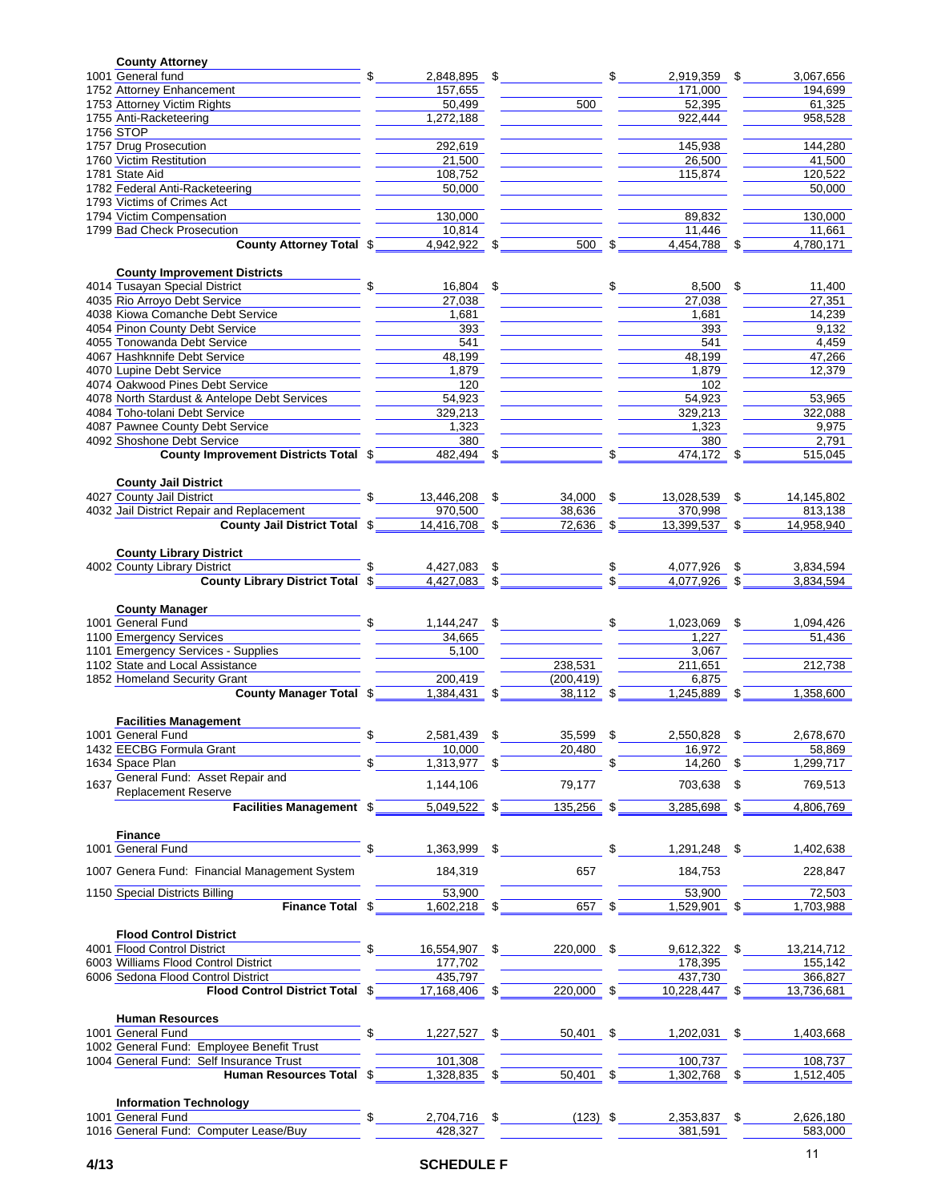| <b>County Attorney</b>                        |                        |     |              |                     |      |                     |
|-----------------------------------------------|------------------------|-----|--------------|---------------------|------|---------------------|
| 1001 General fund                             | 2,848,895              | \$  |              | 2,919,359           | S    | 3,067,656           |
| 1752 Attorney Enhancement                     | 157,655                |     |              | 171,000             |      | 194,699             |
| 1753 Attorney Victim Rights                   | 50,499                 |     | 500          | 52,395              |      | 61,325              |
| 1755 Anti-Racketeering                        | 1,272,188              |     |              | 922,444             |      | 958,528             |
| 1756 STOP                                     |                        |     |              |                     |      |                     |
| 1757 Drug Prosecution                         | 292,619                |     |              | 145,938             |      | 144,280             |
| 1760 Victim Restitution                       | 21,500                 |     |              | 26,500              |      | 41,500              |
| 1781 State Aid                                | 108,752                |     |              | 115,874             |      | 120,522             |
| 1782 Federal Anti-Racketeering                | 50,000                 |     |              |                     |      | 50,000              |
| 1793 Victims of Crimes Act                    |                        |     |              |                     |      |                     |
| 1794 Victim Compensation                      | 130.000                |     |              | 89,832              |      | 130,000             |
| 1799 Bad Check Prosecution                    | 10,814                 |     | $500$ \$     | 11,446              |      | 11.661<br>4.780.171 |
| <b>County Attorney Total \$</b>               | 4,942,922 \$           |     |              | 4,454,788 \$        |      |                     |
| <b>County Improvement Districts</b>           |                        |     |              |                     |      |                     |
| 4014 Tusayan Special District                 | 16,804 \$              |     |              | \$<br>8,500         | \$   | 11,400              |
| 4035 Rio Arroyo Debt Service                  | 27,038                 |     |              | 27,038              |      | 27,351              |
| 4038 Kiowa Comanche Debt Service              | 1,681                  |     |              | 1,681               |      | 14,239              |
| 4054 Pinon County Debt Service                | 393                    |     |              | 393                 |      | 9.132               |
| 4055 Tonowanda Debt Service                   | 541                    |     |              | 541                 |      | 4,459               |
| 4067 Hashknnife Debt Service                  | 48,199                 |     |              | 48,199              |      | 47,266              |
| 4070 Lupine Debt Service                      | 1,879                  |     |              | 1,879               |      | 12.379              |
| 4074 Oakwood Pines Debt Service               | 120                    |     |              | 102                 |      |                     |
| 4078 North Stardust & Antelope Debt Services  | 54,923                 |     |              | 54,923              |      | 53,965              |
| 4084 Toho-tolani Debt Service                 | 329,213                |     |              | 329,213             |      | 322,088             |
| 4087 Pawnee County Debt Service               | 1,323                  |     |              | 1,323               |      | 9,975               |
| 4092 Shoshone Debt Service                    | 380                    |     |              | 380                 |      | 2,791               |
| County Improvement Districts Total \$         | $482,494$ \$           |     |              | $474,172$ \$        |      | 515,045             |
|                                               |                        |     |              |                     |      |                     |
| <b>County Jail District</b>                   |                        |     |              |                     |      |                     |
| 4027 County Jail District                     | 13,446,208 \$          |     | 34,000       | \$<br>13,028,539    | \$   | 14,145,802          |
| 4032 Jail District Repair and Replacement     | 970,500                |     | 38,636       | 370,998             |      | 813,138             |
| County Jail District Total \$                 | 14,416,708 \$          |     | 72,636       | \$<br>13,399,537 \$ |      | 14,958,940          |
| <b>County Library District</b>                |                        |     |              |                     |      |                     |
| 4002 County Library District                  | 4,427,083 \$           |     |              | 4,077,926           | \$   | 3,834,594           |
| <b>County Library District Total \$</b>       | 4,427,083 \$           |     |              | 4,077,926           |      | 3,834,594           |
|                                               |                        |     |              |                     |      |                     |
| <b>County Manager</b>                         |                        |     |              |                     |      |                     |
| 1001 General Fund                             | $1,144,247$ \$         |     |              | 1,023,069           | \$   | 1,094,426           |
| 1100 Emergency Services                       | 34,665                 |     |              | 1,227               |      | 51,436              |
| 1101 Emergency Services - Supplies            | 5.100                  |     |              | 3,067               |      |                     |
| 1102 State and Local Assistance               |                        |     | 238,531      | 211,651             |      | 212,738             |
| 1852 Homeland Security Grant                  | 200.419                |     | (200, 419)   | 6.875               |      |                     |
| <b>County Manager Total \$</b>                | 1.384.431              | \$  | 38,112 \$    | 1,245,889           | \$   | 1,358,600           |
|                                               |                        |     |              |                     |      |                     |
| <b>Facilities Management</b>                  |                        |     |              |                     |      |                     |
| 1001 General Fund                             | 2,581,439              | \$  | 35,599       | \$<br>2,550,828     | - \$ | 2,678,670           |
| 1432 EECBG Formula Grant<br>1634 Space Plan   | 10,000<br>1,313,977 \$ |     | 20,480       | 16,972<br>14,260 \$ |      | 58,869<br>1,299,717 |
| General Fund: Asset Repair and                |                        |     |              |                     |      |                     |
| 1637<br><b>Replacement Reserve</b>            | 1,144,106              |     | 79,177       | 703,638             | \$   | 769,513             |
| Facilities Management \$                      | $5,049,522$ \$         |     | $135,256$ \$ | 3,285,698 \$        |      | 4,806,769           |
|                                               |                        |     |              |                     |      |                     |
| <b>Finance</b>                                |                        |     |              |                     |      |                     |
| 1001 General Fund                             | \$<br>1,363,999        | -\$ |              | \$<br>1,291,248 \$  |      | 1,402,638           |
|                                               |                        |     |              |                     |      |                     |
| 1007 Genera Fund: Financial Management System | 184,319                |     | 657          | 184,753             |      | 228,847             |
| 1150 Special Districts Billing                | 53,900                 |     |              | 53,900              |      | 72,503              |
| Finance Total \$                              | 1,602,218 \$           |     | 657 \$       | 1,529,901 \$        |      | 1,703,988           |
|                                               |                        |     |              |                     |      |                     |
| <b>Flood Control District</b>                 |                        |     |              |                     |      |                     |
| 4001 Flood Control District                   | 16,554,907 \$          |     | 220,000 \$   | $9,612,322$ \$      |      | 13,214,712          |
| 6003 Williams Flood Control District          | 177,702                |     |              | 178,395             |      | 155,142             |
| 6006 Sedona Flood Control District            | 435,797                |     |              | 437,730             |      | 366,827             |
| Flood Control District Total \$               | 17,168,406 \$          |     | 220,000 \$   | 10,228,447 \$       |      | 13,736,681          |
|                                               |                        |     |              |                     |      |                     |
|                                               |                        |     |              |                     |      |                     |
| <b>Human Resources</b>                        |                        |     |              |                     |      |                     |
| 1001 General Fund                             | \$<br>$1,227,527$ \$   |     | 50,401 \$    | 1,202,031           | - \$ | 1,403,668           |
| 1002 General Fund: Employee Benefit Trust     |                        |     |              |                     |      |                     |
| 1004 General Fund: Self Insurance Trust       | 101,308                |     |              | 100,737             |      | 108,737             |
| Human Resources Total \$                      | 1,328,835 \$           |     | 50,401 \$    | 1,302,768           | \$   | 1,512,405           |
| <b>Information Technology</b>                 |                        |     |              |                     |      |                     |
| 1001 General Fund                             | 2,704,716 \$           |     | $(123)$ \$   | 2,353,837 \$        |      | 2,626,180           |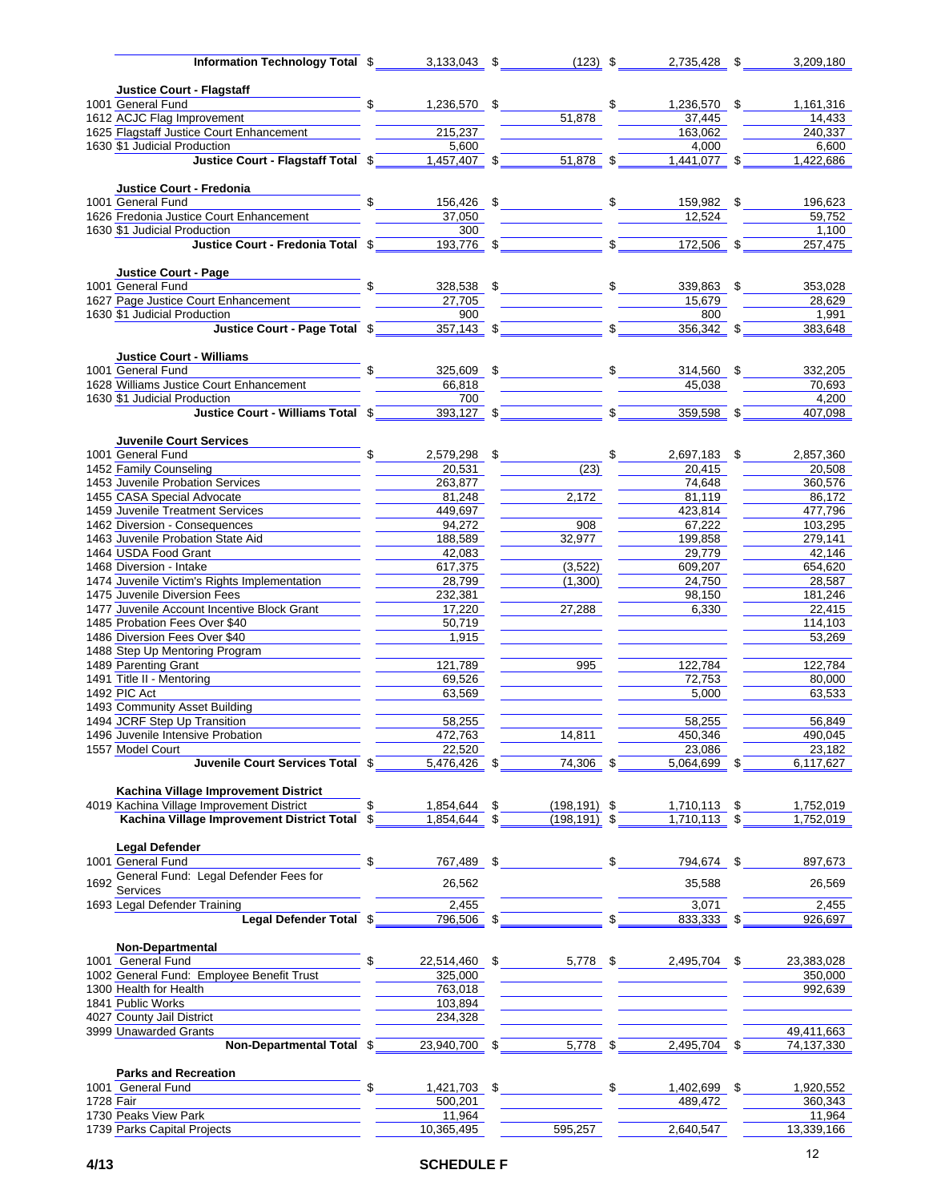| Information Technology Total \$                                             | $3,133,043$ \$      | $(123)$ \$            |               | 2,735,428 \$   |      | 3,209,180  |
|-----------------------------------------------------------------------------|---------------------|-----------------------|---------------|----------------|------|------------|
|                                                                             |                     |                       |               |                |      |            |
| <b>Justice Court - Flagstaff</b>                                            |                     |                       |               |                |      |            |
| 1001 General Fund                                                           | 1,236,570 \$        |                       | \$            | 1,236,570 \$   |      | 1,161,316  |
| 1612 ACJC Flag Improvement                                                  |                     | 51,878                |               | 37,445         |      | 14,433     |
| 1625 Flagstaff Justice Court Enhancement                                    | 215,237             |                       |               | 163,062        |      | 240,337    |
| 1630 \$1 Judicial Production                                                | 5,600               |                       |               | 4,000          |      | 6,600      |
| Justice Court - Flagstaff Total \$                                          | $1,457,407$ \$      | $51,878$ \$           |               | $1,441,077$ \$ |      | 1,422,686  |
|                                                                             |                     |                       |               |                |      |            |
| Justice Court - Fredonia                                                    |                     |                       |               |                |      |            |
| 1001 General Fund                                                           | \$<br>156,426 \$    |                       | $\frac{1}{2}$ | 159,982 \$     |      | 196,623    |
| 1626 Fredonia Justice Court Enhancement                                     | 37,050              |                       |               | 12.524         |      | 59,752     |
| 1630 \$1 Judicial Production<br>Justice Court - Fredonia Total \$193,776 \$ | 300                 |                       | $\sqrt{s}$    |                |      | 1,100      |
|                                                                             |                     |                       |               | 172,506 \$     |      | 257,475    |
| Justice Court - Page                                                        |                     |                       |               |                |      |            |
| 1001 General Fund                                                           | 328,538 \$          |                       |               | 339,863 \$     |      | 353,028    |
| 1627 Page Justice Court Enhancement                                         | 27,705              |                       |               | 15,679         |      | 28,629     |
| 1630 \$1 Judicial Production                                                | 900                 |                       |               | 800            |      | 1,991      |
| Justice Court - Page Total \$                                               | $357,143$ \$        |                       |               | 356,342 \$     |      | 383,648    |
|                                                                             |                     |                       |               |                |      |            |
| <b>Justice Court - Williams</b>                                             |                     |                       |               |                |      |            |
| 1001 General Fund                                                           | \$<br>325,609 \$    |                       | $\frac{1}{2}$ | 314,560 \$     |      | 332,205    |
| 1628 Williams Justice Court Enhancement                                     | 66,818              |                       |               | 45,038         |      | 70,693     |
| 1630 \$1 Judicial Production                                                | 700                 |                       |               |                |      | 4,200      |
| Justice Court - Williams Total \$                                           | $393,127$ \$        |                       | \$            | $359,598$ \$   |      | 407,098    |
|                                                                             |                     |                       |               |                |      |            |
| <b>Juvenile Court Services</b>                                              |                     |                       |               |                |      |            |
| 1001 General Fund                                                           | \$<br>2,579,298 \$  |                       | \$            | 2,697,183      | \$   | 2,857,360  |
| 1452 Family Counseling                                                      | 20,531              | (23)                  |               | 20,415         |      | 20,508     |
| 1453 Juvenile Probation Services                                            | 263,877             |                       |               | 74,648         |      | 360,576    |
| 1455 CASA Special Advocate                                                  | 81,248              | 2,172                 |               | 81,119         |      | 86,172     |
| 1459 Juvenile Treatment Services                                            | 449,697             |                       |               | 423,814        |      | 477,796    |
| 1462 Diversion - Consequences                                               | 94,272              | 908                   |               | 67,222         |      | 103,295    |
| 1463 Juvenile Probation State Aid                                           | 188,589             | 32,977                |               | 199,858        |      | 279,141    |
| 1464 USDA Food Grant                                                        | 42,083              |                       |               | 29,779         |      | 42,146     |
| 1468 Diversion - Intake                                                     | 617,375             | (3, 522)              |               | 609,207        |      | 654,620    |
| 1474 Juvenile Victim's Rights Implementation                                | 28,799              | (1,300)               |               | 24,750         |      | 28,587     |
| 1475 Juvenile Diversion Fees                                                | 232,381             |                       |               | 98,150         |      | 181,246    |
| 1477 Juvenile Account Incentive Block Grant                                 | 17,220              | 27,288                |               | 6,330          |      | 22,415     |
| 1485 Probation Fees Over \$40                                               | 50,719              |                       |               |                |      | 114,103    |
| 1486 Diversion Fees Over \$40                                               | 1,915               |                       |               |                |      | 53,269     |
| 1488 Step Up Mentoring Program                                              |                     |                       |               |                |      |            |
| 1489 Parenting Grant                                                        | 121,789             | 995                   |               | 122,784        |      | 122,784    |
| 1491 Title II - Mentoring                                                   | 69,526              |                       |               | 72,753         |      | 80,000     |
| 1492 PIC Act                                                                | 63,569              |                       |               | 5,000          |      | 63,533     |
| 1493 Community Asset Building                                               |                     |                       |               |                |      |            |
| 1494 JCRF Step Up Transition                                                | 58.255              |                       |               | 58,255         |      | 56,849     |
| 1496 Juvenile Intensive Probation                                           | 472,763             | 14,811                |               | 450,346        |      | 490,045    |
| 1557 Model Court                                                            | 22,520              |                       | \$            | 23,086         |      | 23,182     |
| Juvenile Court Services Total \$                                            | 5,476,426           | 74,306                |               | 5,064,699 \$   |      | 6,117,627  |
| Kachina Village Improvement District                                        |                     |                       |               |                |      |            |
| 4019 Kachina Village Improvement District                                   | 1,854,644           | \$<br>$(198, 191)$ \$ |               | 1,710,113      | \$   | 1,752,019  |
| Kachina Village Improvement District Total \$                               | 1,854,644           | \$<br>(198, 191)      |               | 1,710,113      |      | 1,752,019  |
|                                                                             |                     |                       |               |                |      |            |
| <b>Legal Defender</b>                                                       |                     |                       |               |                |      |            |
| 1001 General Fund                                                           | \$<br>767,489 \$    |                       | \$            | 794,674 \$     |      | 897,673    |
| General Fund: Legal Defender Fees for                                       |                     |                       |               |                |      |            |
| 1692<br>Services                                                            | 26,562              |                       |               | 35,588         |      | 26,569     |
| 1693 Legal Defender Training                                                | 2,455               |                       |               | 3.071          |      | 2,455      |
| Legal Defender Total \$                                                     | 796,506             | \$                    |               | 833,333 \$     |      | 926,697    |
|                                                                             |                     |                       |               |                |      |            |
| <b>Non-Departmental</b>                                                     |                     |                       |               |                |      |            |
| 1001 General Fund                                                           | \$<br>22,514,460 \$ | 5,778 \$              |               | 2,495,704 \$   |      | 23,383,028 |
| 1002 General Fund: Employee Benefit Trust                                   | 325,000             |                       |               |                |      | 350,000    |
| 1300 Health for Health                                                      | 763,018             |                       |               |                |      | 992,639    |
| 1841 Public Works                                                           | 103,894             |                       |               |                |      |            |
| 4027 County Jail District                                                   | 234,328             |                       |               |                |      |            |
| 3999 Unawarded Grants                                                       |                     |                       |               |                |      | 49,411,663 |
| Non-Departmental Total \$                                                   | 23,940,700 \$       | 5,778                 | \$            | 2,495,704 \$   |      | 74,137,330 |
|                                                                             |                     |                       |               |                |      |            |
| <b>Parks and Recreation</b>                                                 |                     |                       |               |                |      |            |
| 1001 General Fund                                                           | \$<br>1,421,703     | \$                    | \$            | 1,402,699      | - \$ | 1,920,552  |
| 1728 $\overline{F}$ air                                                     | 500,201             |                       |               | 489,472        |      | 360,343    |
| 1730 Peaks View Park                                                        | 11,964              |                       |               |                |      | 11,964     |
| 1739 Parks Capital Projects                                                 | 10,365,495          | 595,257               |               | 2,640,547      |      | 13,339,166 |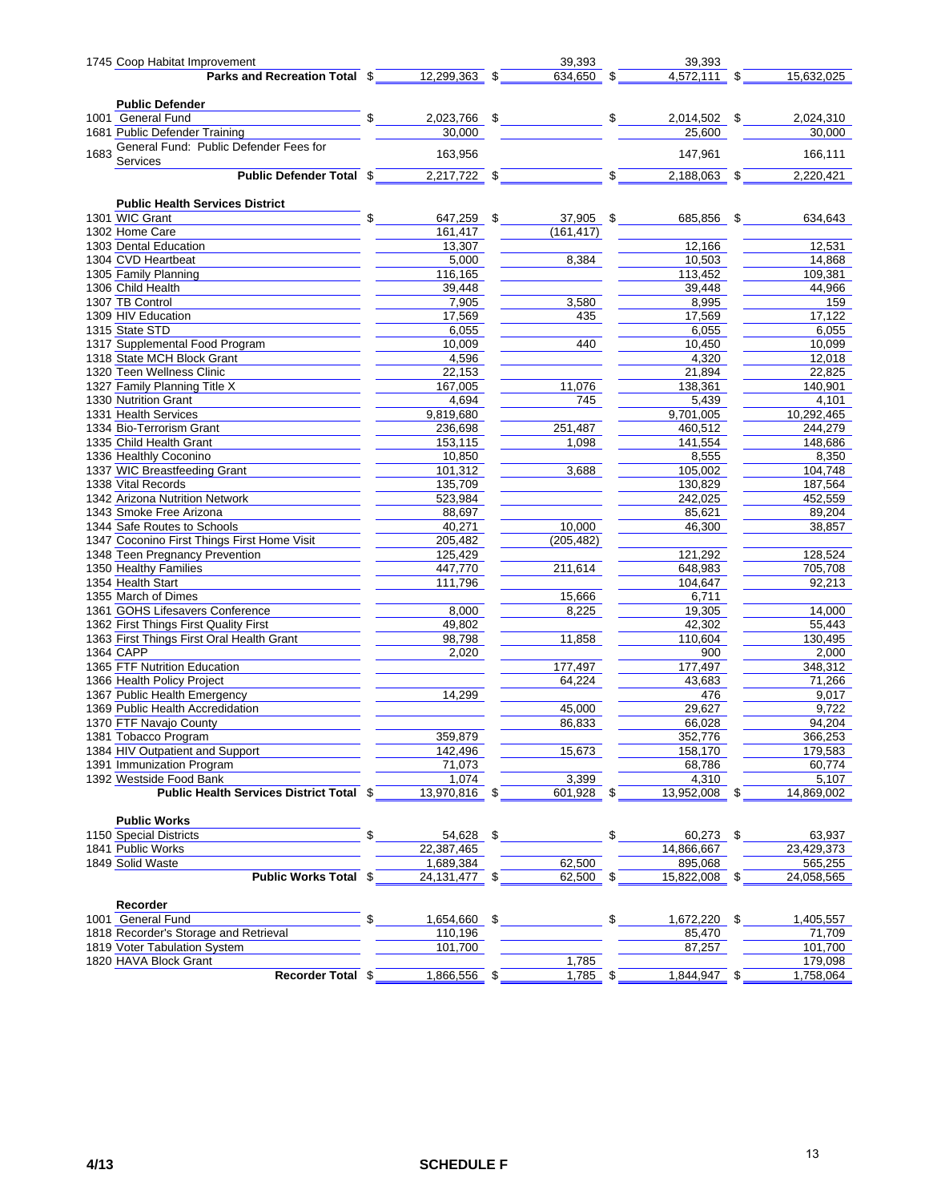| 1745 Coop Habitat Improvement                                                                                                                             |                  |      | 39,393       |               | 39,393         |    |            |
|-----------------------------------------------------------------------------------------------------------------------------------------------------------|------------------|------|--------------|---------------|----------------|----|------------|
| Parks and Recreation Total $\sqrt[6]{\hspace{1cm}12,299,363}$ $\sqrt[6]{\hspace{1cm}634,650}$ $\sqrt[6]{\hspace{1cm}4,572,111}$ $\sqrt[6]{\hspace{1cm}5}$ |                  |      |              |               |                |    | 15,632,025 |
|                                                                                                                                                           |                  |      |              |               |                |    |            |
| <b>Public Defender</b>                                                                                                                                    |                  |      |              |               |                |    |            |
| 1001 General Fund                                                                                                                                         | $\sim$           |      |              |               |                |    | 2,024,310  |
| 1681 Public Defender Training                                                                                                                             | 30,000           |      |              |               | 25,600         |    | 30,000     |
| General Fund: Public Defender Fees for                                                                                                                    |                  |      |              |               |                |    |            |
| 1683<br>Services                                                                                                                                          | 163,956          |      |              |               | 147,961        |    | 166,111    |
| Public Defender Total $\sqrt[6]{\hspace{1cm}2,217,722}$ $\sqrt[6]{\hspace{1cm}2,217,722}$                                                                 |                  |      |              | $\frac{1}{2}$ | $2,188,063$ \$ |    | 2,220,421  |
| <b>Public Health Services District</b>                                                                                                                    |                  |      |              |               |                |    |            |
| 1301 WIC Grant                                                                                                                                            | \$<br>647,259 \$ |      | 37,905 \$    |               | 685,856 \$     |    | 634,643    |
| 1302 Home Care                                                                                                                                            | 161,417          |      | (161, 417)   |               |                |    |            |
| 1303 Dental Education                                                                                                                                     | 13,307           |      |              |               | 12,166         |    | 12,531     |
| 1304 CVD Heartbeat                                                                                                                                        | 5,000            |      | 8,384        |               | 10,503         |    | 14,868     |
| 1305 Family Planning                                                                                                                                      | 116,165          |      |              |               | 113,452        |    | 109,381    |
| 1306 Child Health                                                                                                                                         | 39,448           |      |              |               | 39,448         |    | 44,966     |
| 1307 TB Control                                                                                                                                           | 7,905            |      | 3,580        |               | 8,995          |    | 159        |
| 1309 HIV Education                                                                                                                                        | 17,569           |      | 435          |               | 17,569         |    | 17,122     |
| 1315 State STD                                                                                                                                            | 6,055            |      |              |               | 6,055          |    | 6,055      |
| 1317 Supplemental Food Program                                                                                                                            | 10,009           |      | 440          |               | 10,450         |    | 10,099     |
| 1318 State MCH Block Grant                                                                                                                                | 4,596            |      |              |               | 4,320          |    | 12,018     |
| 1320 Teen Wellness Clinic                                                                                                                                 |                  |      |              |               |                |    |            |
|                                                                                                                                                           | 22,153           |      |              |               | 21,894         |    | 22,825     |
| 1327 Family Planning Title X                                                                                                                              | 167,005          |      | 11,076       |               | 138,361        |    | 140,901    |
| 1330 Nutrition Grant                                                                                                                                      | 4,694            |      | 745          |               | 5,439          |    | 4,101      |
| 1331 Health Services                                                                                                                                      | 9,819,680        |      |              |               | 9,701,005      |    | 10,292,465 |
| 1334 Bio-Terrorism Grant                                                                                                                                  | 236,698          |      | 251,487      |               | 460,512        |    | 244,279    |
| 1335 Child Health Grant                                                                                                                                   | 153,115          |      | 1,098        |               | 141,554        |    | 148,686    |
| 1336 Healthly Coconino                                                                                                                                    | 10,850           |      |              |               | 8,555          |    | 8,350      |
| 1337 WIC Breastfeeding Grant                                                                                                                              | 101,312          |      | 3,688        |               | 105,002        |    | 104,748    |
| 1338 Vital Records                                                                                                                                        | 135,709          |      |              |               | 130,829        |    | 187,564    |
| 1342 Arizona Nutrition Network                                                                                                                            | 523,984          |      |              |               | 242,025        |    | 452,559    |
| 1343 Smoke Free Arizona                                                                                                                                   | 88,697           |      |              |               | 85,621         |    | 89,204     |
| 1344 Safe Routes to Schools                                                                                                                               | 40,271           |      | 10,000       |               | 46,300         |    | 38,857     |
| 1347 Coconino First Things First Home Visit                                                                                                               | 205,482          |      | (205, 482)   |               |                |    |            |
| 1348 Teen Pregnancy Prevention                                                                                                                            | 125,429          |      |              |               | 121,292        |    | 128,524    |
| 1350 Healthy Families                                                                                                                                     | 447,770          |      | 211,614      |               | 648,983        |    | 705,708    |
| 1354 Health Start                                                                                                                                         | 111,796          |      |              |               | 104,647        |    | 92,213     |
| 1355 March of Dimes                                                                                                                                       |                  |      | 15,666       |               | 6,711          |    |            |
| 1361 GOHS Lifesavers Conference                                                                                                                           | 8,000            |      | 8,225        |               | 19,305         |    | 14,000     |
| 1362 First Things First Quality First                                                                                                                     | 49,802           |      |              |               | 42,302         |    | 55,443     |
| 1363 First Things First Oral Health Grant                                                                                                                 | 98,798           |      | 11,858       |               | 110,604        |    | 130,495    |
| 1364 CAPP                                                                                                                                                 | 2,020            |      |              |               | 900            |    | 2,000      |
| 1365 FTF Nutrition Education                                                                                                                              |                  |      | 177,497      |               | 177,497        |    | 348,312    |
| 1366 Health Policy Project                                                                                                                                |                  |      | 64,224       |               | 43,683         |    | 71,266     |
| 1367 Public Health Emergency                                                                                                                              | 14,299           |      |              |               | 476            |    | 9,017      |
| 1369 Public Health Accredidation                                                                                                                          |                  |      | 45,000       |               | 29,627         |    | 9,722      |
| 1370 FTF Navajo County                                                                                                                                    |                  |      | 86,833       |               | 66,028         |    | 94,204     |
| 1381 Tobacco Program                                                                                                                                      | 359,879          |      |              |               | 352,776        |    | 366,253    |
| 1384 HIV Outpatient and Support                                                                                                                           | 142,496          |      | 15,673       |               | 158,170        |    | 179,583    |
| 1391 Immunization Program                                                                                                                                 | 71,073           |      |              |               | 68,786         |    | 60,774     |
| 1392 Westside Food Bank                                                                                                                                   | 1,074            |      | 3,399        |               | 4,310          |    | 5,107      |
| Public Health Services District Total \$                                                                                                                  | 13,970,816 \$    |      | $601,928$ \$ |               | 13,952,008 \$  |    | 14,869,002 |
|                                                                                                                                                           |                  |      |              |               |                |    |            |
| <b>Public Works</b>                                                                                                                                       |                  |      |              |               |                |    |            |
| 1150 Special Districts                                                                                                                                    | \$<br>54,628     | - \$ |              | \$            | 60,273         | \$ | 63,937     |
| 1841 Public Works                                                                                                                                         | 22,387,465       |      |              |               | 14,866,667     |    | 23,429,373 |
| 1849 Solid Waste                                                                                                                                          | 1,689,384        |      | 62,500       |               | 895,068        |    | 565,255    |
| <b>Public Works Total \$</b>                                                                                                                              | 24, 131, 477 \$  |      | 62,500 \$    |               | 15,822,008 \$  |    | 24,058,565 |
|                                                                                                                                                           |                  |      |              |               |                |    |            |
| Recorder                                                                                                                                                  |                  |      |              |               |                |    |            |
| 1001 General Fund                                                                                                                                         | 1,654,660 \$     |      |              | \$            | 1,672,220      | \$ | 1,405,557  |
| 1818 Recorder's Storage and Retrieval                                                                                                                     | 110,196          |      |              |               | 85,470         |    | 71,709     |
| 1819 Voter Tabulation System                                                                                                                              | 101,700          |      |              |               | 87,257         |    | 101,700    |
| 1820 HAVA Block Grant                                                                                                                                     |                  |      | 1,785        |               |                |    | 179,098    |
| Recorder Total \$                                                                                                                                         | 1,866,556 \$     |      | $1,785$ \$   |               | $1,844,947$ \$ |    | 1,758,064  |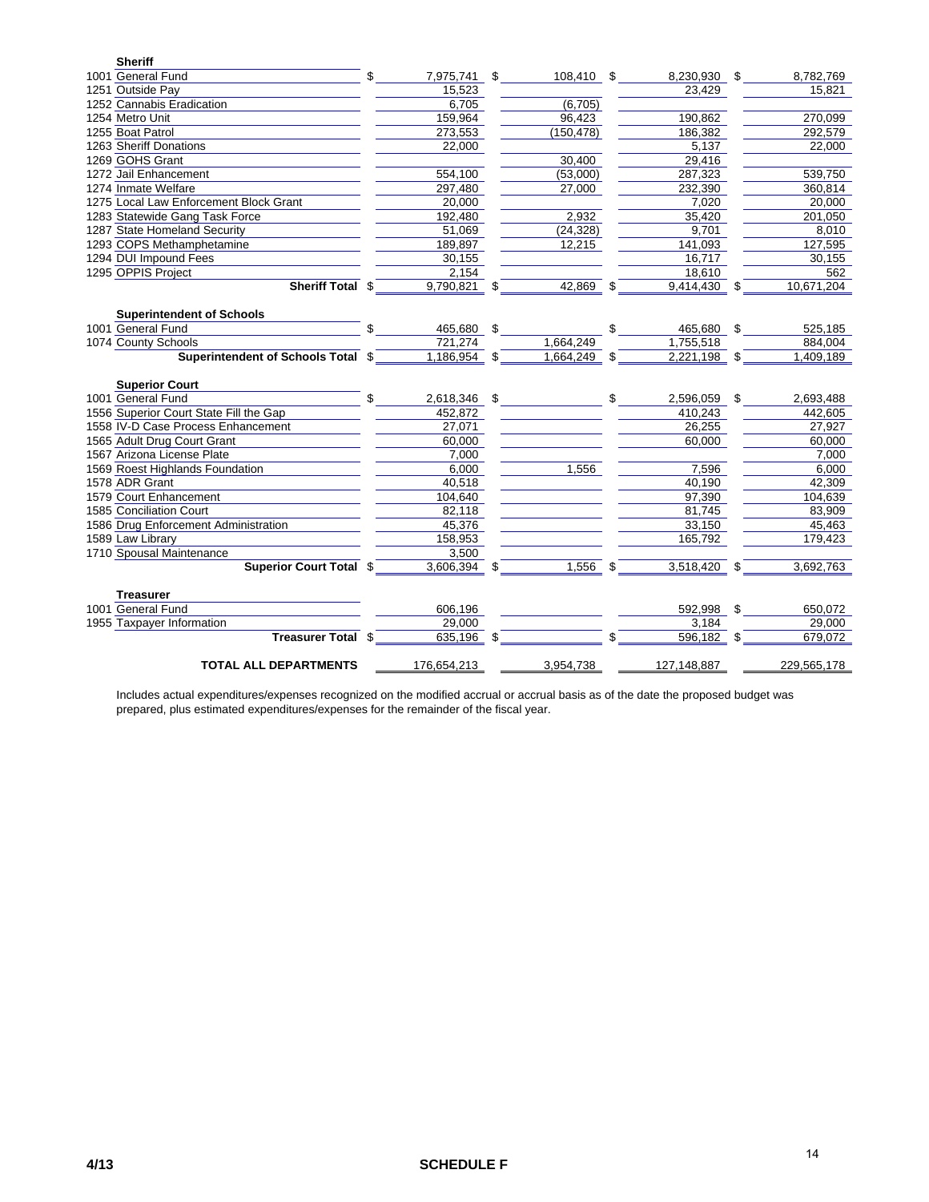| <b>Sheriff</b>                         |     |                |                  |                 |    |             |
|----------------------------------------|-----|----------------|------------------|-----------------|----|-------------|
| 1001 General Fund                      | \$. | 7,975,741      | \$<br>108,410 \$ | 8,230,930 \$    |    | 8,782,769   |
| 1251 Outside Pay                       |     | 15,523         |                  | 23,429          |    | 15,821      |
| 1252 Cannabis Eradication              |     | 6,705          | (6, 705)         |                 |    |             |
| 1254 Metro Unit                        |     | 159,964        | 96,423           | 190.862         |    | 270,099     |
| 1255 Boat Patrol                       |     | 273,553        | (150, 478)       | 186,382         |    | 292,579     |
| 1263 Sheriff Donations                 |     | 22,000         |                  | 5,137           |    | 22,000      |
| 1269 GOHS Grant                        |     |                | 30,400           | 29,416          |    |             |
| 1272 Jail Enhancement                  |     | 554,100        | (53.000)         | 287,323         |    | 539,750     |
| 1274 Inmate Welfare                    |     | 297,480        | 27,000           | 232,390         |    | 360,814     |
| 1275 Local Law Enforcement Block Grant |     | 20,000         |                  | 7,020           |    | 20,000      |
| 1283 Statewide Gang Task Force         |     | 192,480        | 2,932            | 35,420          |    | 201,050     |
| 1287 State Homeland Security           |     | 51,069         | (24, 328)        | 9,701           |    | 8,010       |
| 1293 COPS Methamphetamine              |     | 189,897        | 12,215           | 141,093         |    | 127,595     |
| 1294 DUI Impound Fees                  |     | 30,155         |                  | 16,717          |    | 30,155      |
| 1295 OPPIS Project                     |     | 2,154          |                  | 18,610          |    | 562         |
| Sheriff Total \$                       |     | $9,790,821$ \$ | $42,869$ \$      | $9,414,430$ \$  |    | 10,671,204  |
|                                        |     |                |                  |                 |    |             |
| <b>Superintendent of Schools</b>       |     |                |                  |                 |    |             |
| 1001 General Fund                      |     | 465,680        | \$               | \$<br>465,680   | \$ | 525,185     |
| 1074 County Schools                    |     | 721,274        | 1,664,249        | 1,755,518       |    | 884,004     |
| Superintendent of Schools Total \$     |     | 1,186,954      | \$<br>1,664,249  | 2,221,198 \$    |    | 1,409,189   |
|                                        |     |                |                  |                 |    |             |
| <b>Superior Court</b>                  |     |                |                  |                 |    |             |
| 1001 General Fund                      | \$  | 2,618,346 \$   |                  | \$<br>2,596,059 | \$ | 2,693,488   |
| 1556 Superior Court State Fill the Gap |     | 452.872        |                  | 410.243         |    | 442.605     |
| 1558 IV-D Case Process Enhancement     |     | 27,071         |                  | 26,255          |    | 27,927      |
| 1565 Adult Drug Court Grant            |     | 60,000         |                  | 60,000          |    | 60,000      |
| 1567 Arizona License Plate             |     | 7,000          |                  |                 |    | 7,000       |
| 1569 Roest Highlands Foundation        |     | 6.000          | 1.556            | 7,596           |    | 6.000       |
| 1578 ADR Grant                         |     | 40,518         |                  | 40,190          |    | 42,309      |
| 1579 Court Enhancement                 |     | 104,640        |                  | 97,390          |    | 104,639     |
| 1585 Conciliation Court                |     | 82,118         |                  | 81,745          |    | 83,909      |
| 1586 Drug Enforcement Administration   |     | 45,376         |                  | 33,150          |    | 45,463      |
| 1589 Law Library                       |     | 158,953        |                  | 165,792         |    | 179,423     |
| 1710 Spousal Maintenance               |     | 3.500          |                  |                 |    |             |
| <b>Superior Court Total \$</b>         |     | 3,606,394 \$   | $1,556$ \$       | 3,518,420       | \$ | 3,692,763   |
|                                        |     |                |                  |                 |    |             |
| <b>Treasurer</b>                       |     |                |                  |                 |    |             |
| 1001 General Fund                      |     | 606,196        |                  | 592,998         | \$ | 650,072     |
| 1955 Taxpayer Information              |     | 29,000         |                  | 3.184           |    | 29.000      |
| Treasurer Total \$                     |     | 635,196 \$     |                  | 596,182         |    | 679,072     |
| <b>TOTAL ALL DEPARTMENTS</b>           |     | 176,654,213    | 3,954,738        | 127,148,887     |    | 229,565,178 |
|                                        |     |                |                  |                 |    |             |

Includes actual expenditures/expenses recognized on the modified accrual or accrual basis as of the date the proposed budget was prepared, plus estimated expenditures/expenses for the remainder of the fiscal year.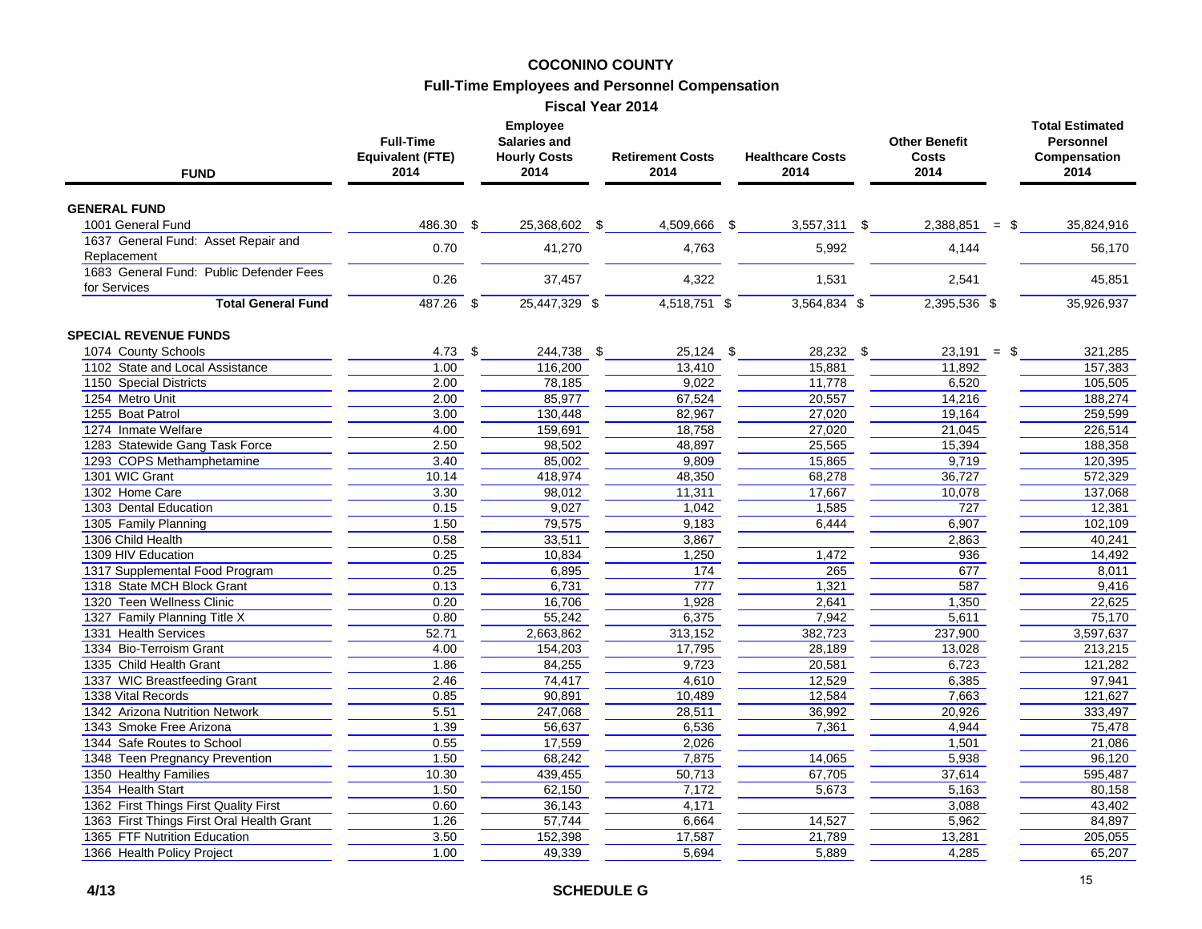#### **COCONINO COUNTY Full-Time Employees and Personnel Compensation**

| <b>Fiscal Year 2014</b> |  |  |
|-------------------------|--|--|
|-------------------------|--|--|

| <b>GENERAL FUND</b><br>1001 General Fund<br>486.30<br>35,824,916<br>-\$<br>25,368,602 \$<br>4,509,666 \$<br>3,557,311 \$<br>2,388,851<br>\$<br>$=$<br>1637 General Fund: Asset Repair and<br>0.70<br>4,763<br>41,270<br>5,992<br>4,144<br>56,170<br>Replacement<br>1683 General Fund: Public Defender Fees<br>0.26<br>37,457<br>4,322<br>1,531<br>2,541<br>45,851<br>for Services<br>$487.26$ \$<br>25,447,329 \$<br>$4,518,751$ \$<br>$3,564,834$ \$<br>$2,395,536$ \$<br><b>Total General Fund</b><br>35,926,937<br><b>SPECIAL REVENUE FUNDS</b><br>1074 County Schools<br>244,738 \$<br>28,232 \$<br>321,285<br>$4.73$ \$<br>$25,124$ \$<br>$23,191 =$ \$<br>1102 State and Local Assistance<br>1.00<br>116,200<br>13,410<br>15,881<br>11,892<br>157,383<br>1150 Special Districts<br>2.00<br>78,185<br>9.022<br>11,778<br>105,505<br>6,520<br>85,977<br>20,557<br>1254 Metro Unit<br>2.00<br>67,524<br>14,216<br>188,274<br>1255 Boat Patrol<br>3.00<br>130,448<br>82,967<br>27,020<br>259,599<br>19,164<br>1274 Inmate Welfare<br>4.00<br>159,691<br>18,758<br>27,020<br>21,045<br>226,514<br>1283 Statewide Gang Task Force<br>2.50<br>98,502<br>48,897<br>25,565<br>15,394<br>188,358<br>1293 COPS Methamphetamine<br>85,002<br>9,809<br>15,865<br>9,719<br>120,395<br>3.40<br>1301 WIC Grant<br>418,974<br>48,350<br>68,278<br>36,727<br>572,329<br>10.14<br>1302 Home Care<br>3.30<br>98,012<br>11,311<br>17,667<br>137,068<br>10,078<br>1303 Dental Education<br>9,027<br>1,585<br>12,381<br>0.15<br>1,042<br>727<br>1305 Family Planning<br>1.50<br>79,575<br>6,444<br>6,907<br>102,109<br>9,183<br>1306 Child Health<br>0.58<br>33,511<br>3,867<br>40,241<br>2,863<br>1,472<br>1309 HIV Education<br>0.25<br>10,834<br>1,250<br>936<br>14,492<br>1317 Supplemental Food Program<br>0.25<br>6,895<br>174<br>265<br>677<br>8,011<br>1,321<br>587<br>1318 State MCH Block Grant<br>0.13<br>6,731<br>777<br>9,416<br>1320 Teen Wellness Clinic<br>16,706<br>2,641<br>22,625<br>0.20<br>1,928<br>1,350<br>1327 Family Planning Title X<br>55,242<br>6,375<br>7,942<br>5,611<br>75,170<br>0.80<br>3,597,637<br>1331 Health Services<br>52.71<br>2,663,862<br>313,152<br>382,723<br>237,900<br>1334 Bio-Terroism Grant<br>17,795<br>28,189<br>213,215<br>4.00<br>154,203<br>13,028<br>20,581<br>1335 Child Health Grant<br>1.86<br>84,255<br>9,723<br>6,723<br>121,282<br>1337 WIC Breastfeeding Grant<br>74,417<br>4.610<br>12,529<br>6,385<br>97,941<br>2.46<br>90,891<br>12,584<br>1338 Vital Records<br>0.85<br>10,489<br>7,663<br>121,627<br>1342 Arizona Nutrition Network<br>5.51<br>247,068<br>28,511<br>36,992<br>20,926<br>333,497<br>7,361<br>1343 Smoke Free Arizona<br>1.39<br>56,637<br>6,536<br>4,944<br>75,478<br>1344 Safe Routes to School<br>0.55<br>17.559<br>2.026<br>21.086<br>1,501<br>1348 Teen Pregnancy Prevention<br>1.50<br>68,242<br>7,875<br>14,065<br>5,938<br>96,120<br>67,705<br>1350 Healthy Families<br>10.30<br>439,455<br>50,713<br>37,614<br>595,487<br>5,673<br>1354 Health Start<br>1.50<br>62,150<br>7,172<br>5,163<br>80,158<br>1362 First Things First Quality First<br>0.60<br>36,143<br>4,171<br>3,088<br>43,402<br>57,744<br>6,664<br>14,527<br>5,962<br>84,897<br>1363 First Things First Oral Health Grant<br>1.26<br>21,789<br>1365 FTF Nutrition Education<br>3.50<br>152,398<br>17,587<br>13,281<br>205,055<br>49,339<br>5,694<br>5,889<br>65,207<br>1366 Health Policy Project<br>1.00<br>4,285 | <b>FUND</b> | <b>Full-Time</b><br><b>Equivalent (FTE)</b><br>2014 |  |  | <b>Retirement Costs</b><br>2014 | <b>Healthcare Costs</b><br>2014 |  | <b>Other Benefit</b><br>Costs<br>2014 | <b>Total Estimated</b><br><b>Personnel</b><br>Compensation<br>2014 |  |
|----------------------------------------------------------------------------------------------------------------------------------------------------------------------------------------------------------------------------------------------------------------------------------------------------------------------------------------------------------------------------------------------------------------------------------------------------------------------------------------------------------------------------------------------------------------------------------------------------------------------------------------------------------------------------------------------------------------------------------------------------------------------------------------------------------------------------------------------------------------------------------------------------------------------------------------------------------------------------------------------------------------------------------------------------------------------------------------------------------------------------------------------------------------------------------------------------------------------------------------------------------------------------------------------------------------------------------------------------------------------------------------------------------------------------------------------------------------------------------------------------------------------------------------------------------------------------------------------------------------------------------------------------------------------------------------------------------------------------------------------------------------------------------------------------------------------------------------------------------------------------------------------------------------------------------------------------------------------------------------------------------------------------------------------------------------------------------------------------------------------------------------------------------------------------------------------------------------------------------------------------------------------------------------------------------------------------------------------------------------------------------------------------------------------------------------------------------------------------------------------------------------------------------------------------------------------------------------------------------------------------------------------------------------------------------------------------------------------------------------------------------------------------------------------------------------------------------------------------------------------------------------------------------------------------------------------------------------------------------------------------------------------------------------------------------------------------------------------------------------------------------------------------------------------------------------------------------------------------------------------------------------------------------------------------------------------------------------------------------------------------------------------------------------------------------------------------------|-------------|-----------------------------------------------------|--|--|---------------------------------|---------------------------------|--|---------------------------------------|--------------------------------------------------------------------|--|
|                                                                                                                                                                                                                                                                                                                                                                                                                                                                                                                                                                                                                                                                                                                                                                                                                                                                                                                                                                                                                                                                                                                                                                                                                                                                                                                                                                                                                                                                                                                                                                                                                                                                                                                                                                                                                                                                                                                                                                                                                                                                                                                                                                                                                                                                                                                                                                                                                                                                                                                                                                                                                                                                                                                                                                                                                                                                                                                                                                                                                                                                                                                                                                                                                                                                                                                                                                                                                                                          |             |                                                     |  |  |                                 |                                 |  |                                       |                                                                    |  |
|                                                                                                                                                                                                                                                                                                                                                                                                                                                                                                                                                                                                                                                                                                                                                                                                                                                                                                                                                                                                                                                                                                                                                                                                                                                                                                                                                                                                                                                                                                                                                                                                                                                                                                                                                                                                                                                                                                                                                                                                                                                                                                                                                                                                                                                                                                                                                                                                                                                                                                                                                                                                                                                                                                                                                                                                                                                                                                                                                                                                                                                                                                                                                                                                                                                                                                                                                                                                                                                          |             |                                                     |  |  |                                 |                                 |  |                                       |                                                                    |  |
|                                                                                                                                                                                                                                                                                                                                                                                                                                                                                                                                                                                                                                                                                                                                                                                                                                                                                                                                                                                                                                                                                                                                                                                                                                                                                                                                                                                                                                                                                                                                                                                                                                                                                                                                                                                                                                                                                                                                                                                                                                                                                                                                                                                                                                                                                                                                                                                                                                                                                                                                                                                                                                                                                                                                                                                                                                                                                                                                                                                                                                                                                                                                                                                                                                                                                                                                                                                                                                                          |             |                                                     |  |  |                                 |                                 |  |                                       |                                                                    |  |
|                                                                                                                                                                                                                                                                                                                                                                                                                                                                                                                                                                                                                                                                                                                                                                                                                                                                                                                                                                                                                                                                                                                                                                                                                                                                                                                                                                                                                                                                                                                                                                                                                                                                                                                                                                                                                                                                                                                                                                                                                                                                                                                                                                                                                                                                                                                                                                                                                                                                                                                                                                                                                                                                                                                                                                                                                                                                                                                                                                                                                                                                                                                                                                                                                                                                                                                                                                                                                                                          |             |                                                     |  |  |                                 |                                 |  |                                       |                                                                    |  |
|                                                                                                                                                                                                                                                                                                                                                                                                                                                                                                                                                                                                                                                                                                                                                                                                                                                                                                                                                                                                                                                                                                                                                                                                                                                                                                                                                                                                                                                                                                                                                                                                                                                                                                                                                                                                                                                                                                                                                                                                                                                                                                                                                                                                                                                                                                                                                                                                                                                                                                                                                                                                                                                                                                                                                                                                                                                                                                                                                                                                                                                                                                                                                                                                                                                                                                                                                                                                                                                          |             |                                                     |  |  |                                 |                                 |  |                                       |                                                                    |  |
|                                                                                                                                                                                                                                                                                                                                                                                                                                                                                                                                                                                                                                                                                                                                                                                                                                                                                                                                                                                                                                                                                                                                                                                                                                                                                                                                                                                                                                                                                                                                                                                                                                                                                                                                                                                                                                                                                                                                                                                                                                                                                                                                                                                                                                                                                                                                                                                                                                                                                                                                                                                                                                                                                                                                                                                                                                                                                                                                                                                                                                                                                                                                                                                                                                                                                                                                                                                                                                                          |             |                                                     |  |  |                                 |                                 |  |                                       |                                                                    |  |
|                                                                                                                                                                                                                                                                                                                                                                                                                                                                                                                                                                                                                                                                                                                                                                                                                                                                                                                                                                                                                                                                                                                                                                                                                                                                                                                                                                                                                                                                                                                                                                                                                                                                                                                                                                                                                                                                                                                                                                                                                                                                                                                                                                                                                                                                                                                                                                                                                                                                                                                                                                                                                                                                                                                                                                                                                                                                                                                                                                                                                                                                                                                                                                                                                                                                                                                                                                                                                                                          |             |                                                     |  |  |                                 |                                 |  |                                       |                                                                    |  |
|                                                                                                                                                                                                                                                                                                                                                                                                                                                                                                                                                                                                                                                                                                                                                                                                                                                                                                                                                                                                                                                                                                                                                                                                                                                                                                                                                                                                                                                                                                                                                                                                                                                                                                                                                                                                                                                                                                                                                                                                                                                                                                                                                                                                                                                                                                                                                                                                                                                                                                                                                                                                                                                                                                                                                                                                                                                                                                                                                                                                                                                                                                                                                                                                                                                                                                                                                                                                                                                          |             |                                                     |  |  |                                 |                                 |  |                                       |                                                                    |  |
|                                                                                                                                                                                                                                                                                                                                                                                                                                                                                                                                                                                                                                                                                                                                                                                                                                                                                                                                                                                                                                                                                                                                                                                                                                                                                                                                                                                                                                                                                                                                                                                                                                                                                                                                                                                                                                                                                                                                                                                                                                                                                                                                                                                                                                                                                                                                                                                                                                                                                                                                                                                                                                                                                                                                                                                                                                                                                                                                                                                                                                                                                                                                                                                                                                                                                                                                                                                                                                                          |             |                                                     |  |  |                                 |                                 |  |                                       |                                                                    |  |
|                                                                                                                                                                                                                                                                                                                                                                                                                                                                                                                                                                                                                                                                                                                                                                                                                                                                                                                                                                                                                                                                                                                                                                                                                                                                                                                                                                                                                                                                                                                                                                                                                                                                                                                                                                                                                                                                                                                                                                                                                                                                                                                                                                                                                                                                                                                                                                                                                                                                                                                                                                                                                                                                                                                                                                                                                                                                                                                                                                                                                                                                                                                                                                                                                                                                                                                                                                                                                                                          |             |                                                     |  |  |                                 |                                 |  |                                       |                                                                    |  |
|                                                                                                                                                                                                                                                                                                                                                                                                                                                                                                                                                                                                                                                                                                                                                                                                                                                                                                                                                                                                                                                                                                                                                                                                                                                                                                                                                                                                                                                                                                                                                                                                                                                                                                                                                                                                                                                                                                                                                                                                                                                                                                                                                                                                                                                                                                                                                                                                                                                                                                                                                                                                                                                                                                                                                                                                                                                                                                                                                                                                                                                                                                                                                                                                                                                                                                                                                                                                                                                          |             |                                                     |  |  |                                 |                                 |  |                                       |                                                                    |  |
|                                                                                                                                                                                                                                                                                                                                                                                                                                                                                                                                                                                                                                                                                                                                                                                                                                                                                                                                                                                                                                                                                                                                                                                                                                                                                                                                                                                                                                                                                                                                                                                                                                                                                                                                                                                                                                                                                                                                                                                                                                                                                                                                                                                                                                                                                                                                                                                                                                                                                                                                                                                                                                                                                                                                                                                                                                                                                                                                                                                                                                                                                                                                                                                                                                                                                                                                                                                                                                                          |             |                                                     |  |  |                                 |                                 |  |                                       |                                                                    |  |
|                                                                                                                                                                                                                                                                                                                                                                                                                                                                                                                                                                                                                                                                                                                                                                                                                                                                                                                                                                                                                                                                                                                                                                                                                                                                                                                                                                                                                                                                                                                                                                                                                                                                                                                                                                                                                                                                                                                                                                                                                                                                                                                                                                                                                                                                                                                                                                                                                                                                                                                                                                                                                                                                                                                                                                                                                                                                                                                                                                                                                                                                                                                                                                                                                                                                                                                                                                                                                                                          |             |                                                     |  |  |                                 |                                 |  |                                       |                                                                    |  |
|                                                                                                                                                                                                                                                                                                                                                                                                                                                                                                                                                                                                                                                                                                                                                                                                                                                                                                                                                                                                                                                                                                                                                                                                                                                                                                                                                                                                                                                                                                                                                                                                                                                                                                                                                                                                                                                                                                                                                                                                                                                                                                                                                                                                                                                                                                                                                                                                                                                                                                                                                                                                                                                                                                                                                                                                                                                                                                                                                                                                                                                                                                                                                                                                                                                                                                                                                                                                                                                          |             |                                                     |  |  |                                 |                                 |  |                                       |                                                                    |  |
|                                                                                                                                                                                                                                                                                                                                                                                                                                                                                                                                                                                                                                                                                                                                                                                                                                                                                                                                                                                                                                                                                                                                                                                                                                                                                                                                                                                                                                                                                                                                                                                                                                                                                                                                                                                                                                                                                                                                                                                                                                                                                                                                                                                                                                                                                                                                                                                                                                                                                                                                                                                                                                                                                                                                                                                                                                                                                                                                                                                                                                                                                                                                                                                                                                                                                                                                                                                                                                                          |             |                                                     |  |  |                                 |                                 |  |                                       |                                                                    |  |
|                                                                                                                                                                                                                                                                                                                                                                                                                                                                                                                                                                                                                                                                                                                                                                                                                                                                                                                                                                                                                                                                                                                                                                                                                                                                                                                                                                                                                                                                                                                                                                                                                                                                                                                                                                                                                                                                                                                                                                                                                                                                                                                                                                                                                                                                                                                                                                                                                                                                                                                                                                                                                                                                                                                                                                                                                                                                                                                                                                                                                                                                                                                                                                                                                                                                                                                                                                                                                                                          |             |                                                     |  |  |                                 |                                 |  |                                       |                                                                    |  |
|                                                                                                                                                                                                                                                                                                                                                                                                                                                                                                                                                                                                                                                                                                                                                                                                                                                                                                                                                                                                                                                                                                                                                                                                                                                                                                                                                                                                                                                                                                                                                                                                                                                                                                                                                                                                                                                                                                                                                                                                                                                                                                                                                                                                                                                                                                                                                                                                                                                                                                                                                                                                                                                                                                                                                                                                                                                                                                                                                                                                                                                                                                                                                                                                                                                                                                                                                                                                                                                          |             |                                                     |  |  |                                 |                                 |  |                                       |                                                                    |  |
|                                                                                                                                                                                                                                                                                                                                                                                                                                                                                                                                                                                                                                                                                                                                                                                                                                                                                                                                                                                                                                                                                                                                                                                                                                                                                                                                                                                                                                                                                                                                                                                                                                                                                                                                                                                                                                                                                                                                                                                                                                                                                                                                                                                                                                                                                                                                                                                                                                                                                                                                                                                                                                                                                                                                                                                                                                                                                                                                                                                                                                                                                                                                                                                                                                                                                                                                                                                                                                                          |             |                                                     |  |  |                                 |                                 |  |                                       |                                                                    |  |
|                                                                                                                                                                                                                                                                                                                                                                                                                                                                                                                                                                                                                                                                                                                                                                                                                                                                                                                                                                                                                                                                                                                                                                                                                                                                                                                                                                                                                                                                                                                                                                                                                                                                                                                                                                                                                                                                                                                                                                                                                                                                                                                                                                                                                                                                                                                                                                                                                                                                                                                                                                                                                                                                                                                                                                                                                                                                                                                                                                                                                                                                                                                                                                                                                                                                                                                                                                                                                                                          |             |                                                     |  |  |                                 |                                 |  |                                       |                                                                    |  |
|                                                                                                                                                                                                                                                                                                                                                                                                                                                                                                                                                                                                                                                                                                                                                                                                                                                                                                                                                                                                                                                                                                                                                                                                                                                                                                                                                                                                                                                                                                                                                                                                                                                                                                                                                                                                                                                                                                                                                                                                                                                                                                                                                                                                                                                                                                                                                                                                                                                                                                                                                                                                                                                                                                                                                                                                                                                                                                                                                                                                                                                                                                                                                                                                                                                                                                                                                                                                                                                          |             |                                                     |  |  |                                 |                                 |  |                                       |                                                                    |  |
|                                                                                                                                                                                                                                                                                                                                                                                                                                                                                                                                                                                                                                                                                                                                                                                                                                                                                                                                                                                                                                                                                                                                                                                                                                                                                                                                                                                                                                                                                                                                                                                                                                                                                                                                                                                                                                                                                                                                                                                                                                                                                                                                                                                                                                                                                                                                                                                                                                                                                                                                                                                                                                                                                                                                                                                                                                                                                                                                                                                                                                                                                                                                                                                                                                                                                                                                                                                                                                                          |             |                                                     |  |  |                                 |                                 |  |                                       |                                                                    |  |
|                                                                                                                                                                                                                                                                                                                                                                                                                                                                                                                                                                                                                                                                                                                                                                                                                                                                                                                                                                                                                                                                                                                                                                                                                                                                                                                                                                                                                                                                                                                                                                                                                                                                                                                                                                                                                                                                                                                                                                                                                                                                                                                                                                                                                                                                                                                                                                                                                                                                                                                                                                                                                                                                                                                                                                                                                                                                                                                                                                                                                                                                                                                                                                                                                                                                                                                                                                                                                                                          |             |                                                     |  |  |                                 |                                 |  |                                       |                                                                    |  |
|                                                                                                                                                                                                                                                                                                                                                                                                                                                                                                                                                                                                                                                                                                                                                                                                                                                                                                                                                                                                                                                                                                                                                                                                                                                                                                                                                                                                                                                                                                                                                                                                                                                                                                                                                                                                                                                                                                                                                                                                                                                                                                                                                                                                                                                                                                                                                                                                                                                                                                                                                                                                                                                                                                                                                                                                                                                                                                                                                                                                                                                                                                                                                                                                                                                                                                                                                                                                                                                          |             |                                                     |  |  |                                 |                                 |  |                                       |                                                                    |  |
|                                                                                                                                                                                                                                                                                                                                                                                                                                                                                                                                                                                                                                                                                                                                                                                                                                                                                                                                                                                                                                                                                                                                                                                                                                                                                                                                                                                                                                                                                                                                                                                                                                                                                                                                                                                                                                                                                                                                                                                                                                                                                                                                                                                                                                                                                                                                                                                                                                                                                                                                                                                                                                                                                                                                                                                                                                                                                                                                                                                                                                                                                                                                                                                                                                                                                                                                                                                                                                                          |             |                                                     |  |  |                                 |                                 |  |                                       |                                                                    |  |
|                                                                                                                                                                                                                                                                                                                                                                                                                                                                                                                                                                                                                                                                                                                                                                                                                                                                                                                                                                                                                                                                                                                                                                                                                                                                                                                                                                                                                                                                                                                                                                                                                                                                                                                                                                                                                                                                                                                                                                                                                                                                                                                                                                                                                                                                                                                                                                                                                                                                                                                                                                                                                                                                                                                                                                                                                                                                                                                                                                                                                                                                                                                                                                                                                                                                                                                                                                                                                                                          |             |                                                     |  |  |                                 |                                 |  |                                       |                                                                    |  |
|                                                                                                                                                                                                                                                                                                                                                                                                                                                                                                                                                                                                                                                                                                                                                                                                                                                                                                                                                                                                                                                                                                                                                                                                                                                                                                                                                                                                                                                                                                                                                                                                                                                                                                                                                                                                                                                                                                                                                                                                                                                                                                                                                                                                                                                                                                                                                                                                                                                                                                                                                                                                                                                                                                                                                                                                                                                                                                                                                                                                                                                                                                                                                                                                                                                                                                                                                                                                                                                          |             |                                                     |  |  |                                 |                                 |  |                                       |                                                                    |  |
|                                                                                                                                                                                                                                                                                                                                                                                                                                                                                                                                                                                                                                                                                                                                                                                                                                                                                                                                                                                                                                                                                                                                                                                                                                                                                                                                                                                                                                                                                                                                                                                                                                                                                                                                                                                                                                                                                                                                                                                                                                                                                                                                                                                                                                                                                                                                                                                                                                                                                                                                                                                                                                                                                                                                                                                                                                                                                                                                                                                                                                                                                                                                                                                                                                                                                                                                                                                                                                                          |             |                                                     |  |  |                                 |                                 |  |                                       |                                                                    |  |
|                                                                                                                                                                                                                                                                                                                                                                                                                                                                                                                                                                                                                                                                                                                                                                                                                                                                                                                                                                                                                                                                                                                                                                                                                                                                                                                                                                                                                                                                                                                                                                                                                                                                                                                                                                                                                                                                                                                                                                                                                                                                                                                                                                                                                                                                                                                                                                                                                                                                                                                                                                                                                                                                                                                                                                                                                                                                                                                                                                                                                                                                                                                                                                                                                                                                                                                                                                                                                                                          |             |                                                     |  |  |                                 |                                 |  |                                       |                                                                    |  |
|                                                                                                                                                                                                                                                                                                                                                                                                                                                                                                                                                                                                                                                                                                                                                                                                                                                                                                                                                                                                                                                                                                                                                                                                                                                                                                                                                                                                                                                                                                                                                                                                                                                                                                                                                                                                                                                                                                                                                                                                                                                                                                                                                                                                                                                                                                                                                                                                                                                                                                                                                                                                                                                                                                                                                                                                                                                                                                                                                                                                                                                                                                                                                                                                                                                                                                                                                                                                                                                          |             |                                                     |  |  |                                 |                                 |  |                                       |                                                                    |  |
|                                                                                                                                                                                                                                                                                                                                                                                                                                                                                                                                                                                                                                                                                                                                                                                                                                                                                                                                                                                                                                                                                                                                                                                                                                                                                                                                                                                                                                                                                                                                                                                                                                                                                                                                                                                                                                                                                                                                                                                                                                                                                                                                                                                                                                                                                                                                                                                                                                                                                                                                                                                                                                                                                                                                                                                                                                                                                                                                                                                                                                                                                                                                                                                                                                                                                                                                                                                                                                                          |             |                                                     |  |  |                                 |                                 |  |                                       |                                                                    |  |
|                                                                                                                                                                                                                                                                                                                                                                                                                                                                                                                                                                                                                                                                                                                                                                                                                                                                                                                                                                                                                                                                                                                                                                                                                                                                                                                                                                                                                                                                                                                                                                                                                                                                                                                                                                                                                                                                                                                                                                                                                                                                                                                                                                                                                                                                                                                                                                                                                                                                                                                                                                                                                                                                                                                                                                                                                                                                                                                                                                                                                                                                                                                                                                                                                                                                                                                                                                                                                                                          |             |                                                     |  |  |                                 |                                 |  |                                       |                                                                    |  |
|                                                                                                                                                                                                                                                                                                                                                                                                                                                                                                                                                                                                                                                                                                                                                                                                                                                                                                                                                                                                                                                                                                                                                                                                                                                                                                                                                                                                                                                                                                                                                                                                                                                                                                                                                                                                                                                                                                                                                                                                                                                                                                                                                                                                                                                                                                                                                                                                                                                                                                                                                                                                                                                                                                                                                                                                                                                                                                                                                                                                                                                                                                                                                                                                                                                                                                                                                                                                                                                          |             |                                                     |  |  |                                 |                                 |  |                                       |                                                                    |  |
|                                                                                                                                                                                                                                                                                                                                                                                                                                                                                                                                                                                                                                                                                                                                                                                                                                                                                                                                                                                                                                                                                                                                                                                                                                                                                                                                                                                                                                                                                                                                                                                                                                                                                                                                                                                                                                                                                                                                                                                                                                                                                                                                                                                                                                                                                                                                                                                                                                                                                                                                                                                                                                                                                                                                                                                                                                                                                                                                                                                                                                                                                                                                                                                                                                                                                                                                                                                                                                                          |             |                                                     |  |  |                                 |                                 |  |                                       |                                                                    |  |
|                                                                                                                                                                                                                                                                                                                                                                                                                                                                                                                                                                                                                                                                                                                                                                                                                                                                                                                                                                                                                                                                                                                                                                                                                                                                                                                                                                                                                                                                                                                                                                                                                                                                                                                                                                                                                                                                                                                                                                                                                                                                                                                                                                                                                                                                                                                                                                                                                                                                                                                                                                                                                                                                                                                                                                                                                                                                                                                                                                                                                                                                                                                                                                                                                                                                                                                                                                                                                                                          |             |                                                     |  |  |                                 |                                 |  |                                       |                                                                    |  |
|                                                                                                                                                                                                                                                                                                                                                                                                                                                                                                                                                                                                                                                                                                                                                                                                                                                                                                                                                                                                                                                                                                                                                                                                                                                                                                                                                                                                                                                                                                                                                                                                                                                                                                                                                                                                                                                                                                                                                                                                                                                                                                                                                                                                                                                                                                                                                                                                                                                                                                                                                                                                                                                                                                                                                                                                                                                                                                                                                                                                                                                                                                                                                                                                                                                                                                                                                                                                                                                          |             |                                                     |  |  |                                 |                                 |  |                                       |                                                                    |  |
|                                                                                                                                                                                                                                                                                                                                                                                                                                                                                                                                                                                                                                                                                                                                                                                                                                                                                                                                                                                                                                                                                                                                                                                                                                                                                                                                                                                                                                                                                                                                                                                                                                                                                                                                                                                                                                                                                                                                                                                                                                                                                                                                                                                                                                                                                                                                                                                                                                                                                                                                                                                                                                                                                                                                                                                                                                                                                                                                                                                                                                                                                                                                                                                                                                                                                                                                                                                                                                                          |             |                                                     |  |  |                                 |                                 |  |                                       |                                                                    |  |
|                                                                                                                                                                                                                                                                                                                                                                                                                                                                                                                                                                                                                                                                                                                                                                                                                                                                                                                                                                                                                                                                                                                                                                                                                                                                                                                                                                                                                                                                                                                                                                                                                                                                                                                                                                                                                                                                                                                                                                                                                                                                                                                                                                                                                                                                                                                                                                                                                                                                                                                                                                                                                                                                                                                                                                                                                                                                                                                                                                                                                                                                                                                                                                                                                                                                                                                                                                                                                                                          |             |                                                     |  |  |                                 |                                 |  |                                       |                                                                    |  |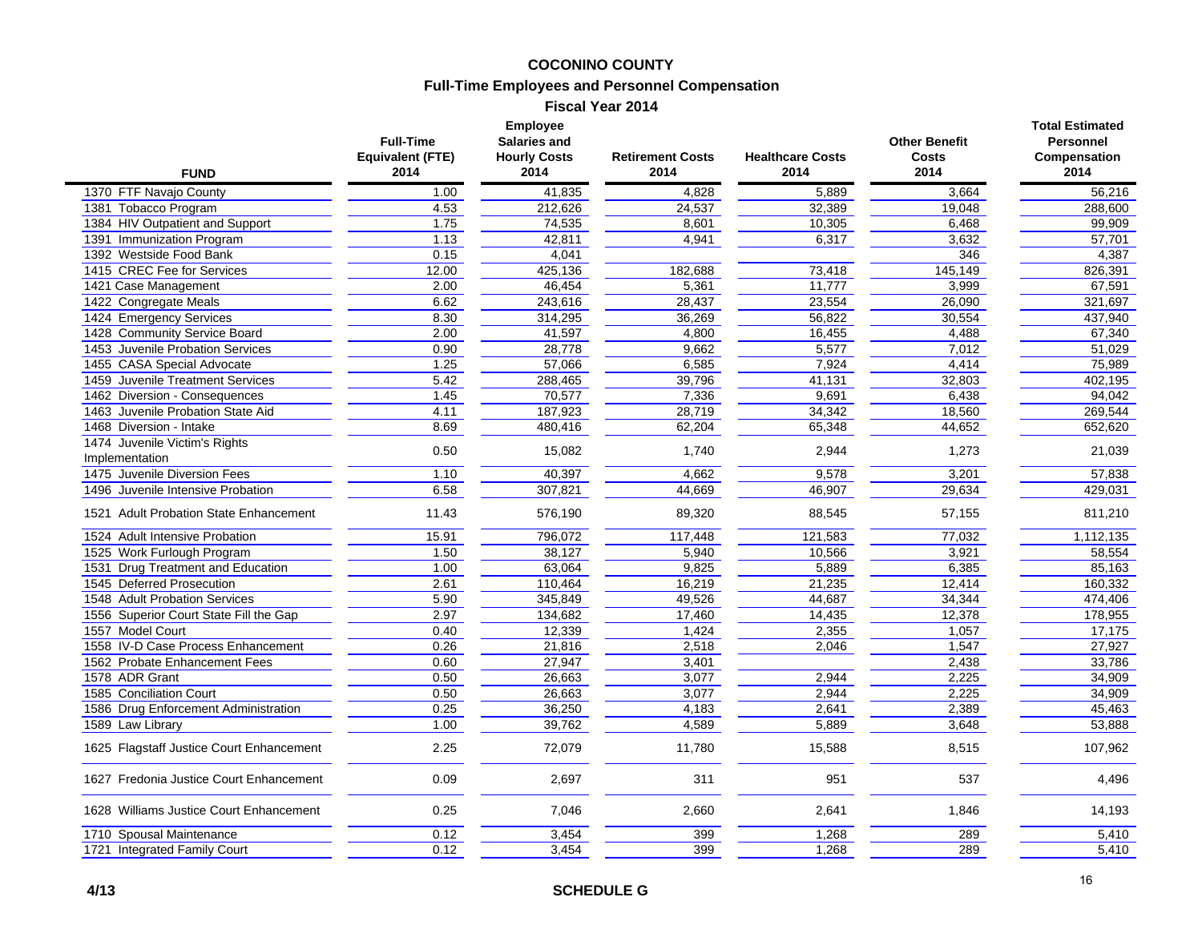#### **COCONINO COUNTY**

### **Full-Time Employees and Personnel Compensation**

**Fiscal Year 2014**

| <b>FUND</b>                                     | <b>Full-Time</b><br><b>Equivalent (FTE)</b><br>2014 | <b>Employee</b><br><b>Salaries and</b><br><b>Hourly Costs</b><br>2014 | <b>Retirement Costs</b><br>2014 | <b>Healthcare Costs</b><br>2014 | <b>Other Benefit</b><br><b>Costs</b><br>2014 | <b>Total Estimated</b><br><b>Personnel</b><br>Compensation<br>2014 |
|-------------------------------------------------|-----------------------------------------------------|-----------------------------------------------------------------------|---------------------------------|---------------------------------|----------------------------------------------|--------------------------------------------------------------------|
| 1370 FTF Navajo County                          | 1.00                                                | 41,835                                                                | 4,828                           | 5,889                           | 3,664                                        | 56,216                                                             |
| 1381 Tobacco Program                            | 4.53                                                | 212,626                                                               | 24,537                          | 32,389                          | 19,048                                       | 288,600                                                            |
| 1384 HIV Outpatient and Support                 | 1.75                                                | 74,535                                                                | 8,601                           | 10,305                          | 6,468                                        | 99,909                                                             |
| 1391 Immunization Program                       | 1.13                                                | 42,811                                                                | 4,941                           | 6,317                           | 3,632                                        | 57,701                                                             |
| 1392 Westside Food Bank                         | 0.15                                                | 4,041                                                                 |                                 |                                 | 346                                          | 4,387                                                              |
| 1415 CREC Fee for Services                      | 12.00                                               | 425,136                                                               | 182,688                         | 73,418                          | 145,149                                      | 826,391                                                            |
| 1421 Case Management                            | 2.00                                                | 46,454                                                                | 5,361                           | 11,777                          | 3,999                                        | 67,591                                                             |
| 1422 Congregate Meals                           | 6.62                                                | 243,616                                                               | 28,437                          | 23,554                          | 26,090                                       | 321,697                                                            |
| 1424 Emergency Services                         | 8.30                                                | 314,295                                                               | 36,269                          | 56,822                          | 30,554                                       | 437,940                                                            |
| 1428 Community Service Board                    | 2.00                                                | 41,597                                                                | 4,800                           | 16,455                          | 4,488                                        | 67,340                                                             |
| 1453 Juvenile Probation Services                | 0.90                                                | 28,778                                                                | 9,662                           | 5,577                           | 7,012                                        | 51,029                                                             |
| 1455 CASA Special Advocate                      | 1.25                                                | 57,066                                                                | 6,585                           | 7,924                           | 4,414                                        | 75,989                                                             |
| 1459 Juvenile Treatment Services                | 5.42                                                | 288,465                                                               | 39,796                          | 41,131                          | 32,803                                       | 402,195                                                            |
| 1462 Diversion - Consequences                   | 1.45                                                | 70,577                                                                | 7,336                           | 9,691                           | 6,438                                        | 94,042                                                             |
| 1463 Juvenile Probation State Aid               | 4.11                                                | 187,923                                                               | 28,719                          | 34,342                          | 18,560                                       | 269,544                                                            |
| 1468 Diversion - Intake                         | 8.69                                                | 480,416                                                               | 62,204                          | 65,348                          | 44,652                                       | 652,620                                                            |
| 1474 Juvenile Victim's Rights<br>Implementation | 0.50                                                | 15,082                                                                | 1,740                           | 2,944                           | 1,273                                        | 21,039                                                             |
| 1475 Juvenile Diversion Fees                    | 1.10                                                | 40,397                                                                | 4,662                           | 9,578                           | 3,201                                        | 57,838                                                             |
| 1496 Juvenile Intensive Probation               | 6.58                                                | 307,821                                                               | 44,669                          | 46,907                          | 29,634                                       | 429,031                                                            |
| 1521 Adult Probation State Enhancement          | 11.43                                               | 576,190                                                               | 89,320                          | 88,545                          | 57,155                                       | 811,210                                                            |
| 1524 Adult Intensive Probation                  | 15.91                                               | 796,072                                                               | 117,448                         | 121,583                         | 77,032                                       | 1,112,135                                                          |
| 1525 Work Furlough Program                      | 1.50                                                | 38,127                                                                | 5,940                           | 10,566                          | 3,921                                        | 58,554                                                             |
| 1531 Drug Treatment and Education               | 1.00                                                | 63,064                                                                | 9,825                           | 5,889                           | 6,385                                        | 85,163                                                             |
| 1545 Deferred Prosecution                       | 2.61                                                | 110,464                                                               | 16,219                          | 21,235                          | 12,414                                       | 160,332                                                            |
| 1548 Adult Probation Services                   | 5.90                                                | 345,849                                                               | 49,526                          | 44,687                          | 34,344                                       | 474,406                                                            |
| 1556 Superior Court State Fill the Gap          | 2.97                                                | 134,682                                                               | 17,460                          | 14,435                          | 12,378                                       | 178,955                                                            |
| 1557 Model Court                                | 0.40                                                | 12,339                                                                | 1,424                           | 2,355                           | 1,057                                        | 17,175                                                             |
| 1558 IV-D Case Process Enhancement              | 0.26                                                | 21,816                                                                | 2,518                           | 2,046                           | 1,547                                        | 27,927                                                             |
| 1562 Probate Enhancement Fees                   | 0.60                                                | 27,947                                                                | 3,401                           |                                 | 2,438                                        | 33,786                                                             |
| 1578 ADR Grant                                  | 0.50                                                | 26,663                                                                | 3,077                           | 2,944                           | 2,225                                        | 34,909                                                             |
| 1585 Conciliation Court                         | 0.50                                                | 26,663                                                                | 3,077                           | 2,944                           | 2,225                                        | 34,909                                                             |
| 1586 Drug Enforcement Administration            | 0.25                                                | 36,250                                                                | 4,183                           | 2,641                           | 2,389                                        | 45,463                                                             |
| 1589 Law Library                                | 1.00                                                | 39,762                                                                | 4,589                           | 5,889                           | 3,648                                        | 53,888                                                             |
| 1625 Flagstaff Justice Court Enhancement        | 2.25                                                | 72,079                                                                | 11,780                          | 15,588                          | 8,515                                        | 107,962                                                            |
| 1627 Fredonia Justice Court Enhancement         | 0.09                                                | 2,697                                                                 | 311                             | 951                             | 537                                          | 4,496                                                              |
| 1628 Williams Justice Court Enhancement         | 0.25                                                | 7,046                                                                 | 2,660                           | 2,641                           | 1,846                                        | 14,193                                                             |
| 1710 Spousal Maintenance                        | 0.12                                                | 3,454                                                                 | 399                             | 1,268                           | 289                                          | 5,410                                                              |
| 1721 Integrated Family Court                    | 0.12                                                | 3,454                                                                 | 399                             | 1,268                           | 289                                          | 5,410                                                              |
|                                                 |                                                     |                                                                       |                                 |                                 |                                              |                                                                    |